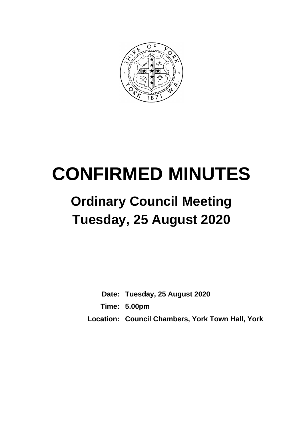

# **CONFIRMED MINUTES**

# **Ordinary Council Meeting Tuesday, 25 August 2020**

**Date: Tuesday, 25 August 2020 Time: 5.00pm Location: Council Chambers, York Town Hall, York**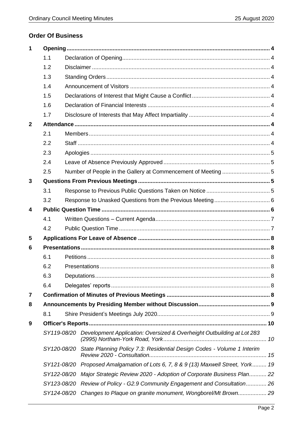# **Order Of Business**

| 1            |             |  |                                                                                    |  |  |
|--------------|-------------|--|------------------------------------------------------------------------------------|--|--|
|              | 1.1         |  |                                                                                    |  |  |
|              | 1.2         |  |                                                                                    |  |  |
|              | 1.3         |  |                                                                                    |  |  |
|              | 1.4         |  |                                                                                    |  |  |
|              | 1.5         |  |                                                                                    |  |  |
|              | 1.6         |  |                                                                                    |  |  |
|              | 1.7         |  |                                                                                    |  |  |
| $\mathbf{2}$ |             |  |                                                                                    |  |  |
|              | 2.1         |  |                                                                                    |  |  |
|              | 2.2         |  |                                                                                    |  |  |
|              | 2.3         |  |                                                                                    |  |  |
|              | 2.4         |  |                                                                                    |  |  |
|              | 2.5         |  |                                                                                    |  |  |
| 3            |             |  |                                                                                    |  |  |
|              | 3.1         |  |                                                                                    |  |  |
|              | 3.2         |  |                                                                                    |  |  |
| 4            |             |  |                                                                                    |  |  |
|              | 4.1         |  |                                                                                    |  |  |
|              | 4.2         |  |                                                                                    |  |  |
| 5            |             |  |                                                                                    |  |  |
| 6            |             |  |                                                                                    |  |  |
|              | 6.1         |  |                                                                                    |  |  |
|              | 6.2         |  |                                                                                    |  |  |
|              | 6.3         |  |                                                                                    |  |  |
|              | 6.4         |  |                                                                                    |  |  |
| 7            |             |  |                                                                                    |  |  |
| 8            |             |  |                                                                                    |  |  |
|              | 8.1         |  |                                                                                    |  |  |
| 9            |             |  |                                                                                    |  |  |
|              | SY119-08/20 |  | Development Application: Oversized & Overheight Outbuilding at Lot 283             |  |  |
|              |             |  | SY120-08/20 State Planning Policy 7.3: Residential Design Codes - Volume 1 Interim |  |  |
|              |             |  | SY121-08/20 Proposed Amalgamation of Lots 6, 7, 8 & 9 (13) Maxwell Street, York 19 |  |  |
|              | SY122-08/20 |  | Major Strategic Review 2020 - Adoption of Corporate Business Plan 22               |  |  |
|              |             |  | SY123-08/20 Review of Policy - G2.9 Community Engagement and Consultation 26       |  |  |
|              | SY124-08/20 |  | Changes to Plaque on granite monument, Wongborel/Mt Brown 29                       |  |  |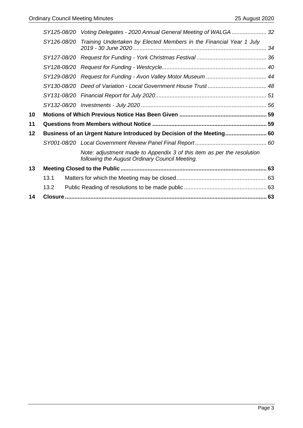|    |             | SY125-08/20 Voting Delegates - 2020 Annual General Meeting of WALGA  32                                                  |  |
|----|-------------|--------------------------------------------------------------------------------------------------------------------------|--|
|    | SY126-08/20 | Training Undertaken by Elected Members in the Financial Year 1 July                                                      |  |
|    |             |                                                                                                                          |  |
|    |             |                                                                                                                          |  |
|    |             |                                                                                                                          |  |
|    |             |                                                                                                                          |  |
|    |             |                                                                                                                          |  |
|    |             |                                                                                                                          |  |
| 10 |             |                                                                                                                          |  |
| 11 |             |                                                                                                                          |  |
| 12 |             | Business of an Urgent Nature Introduced by Decision of the Meeting 60                                                    |  |
|    |             |                                                                                                                          |  |
|    |             | Note: adjustment made to Appendix 3 of this item as per the resolution<br>following the August Ordinary Council Meeting. |  |
| 13 |             |                                                                                                                          |  |
|    | 13.1        |                                                                                                                          |  |
|    | 13.2        |                                                                                                                          |  |
| 14 |             |                                                                                                                          |  |
|    |             |                                                                                                                          |  |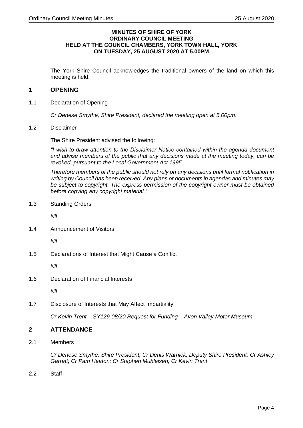#### **MINUTES OF SHIRE OF YORK ORDINARY COUNCIL MEETING HELD AT THE COUNCIL CHAMBERS, YORK TOWN HALL, YORK ON TUESDAY, 25 AUGUST 2020 AT 5.00PM**

The York Shire Council acknowledges the traditional owners of the land on which this meeting is held.

# <span id="page-3-0"></span>**1 OPENING**

<span id="page-3-1"></span>1.1 Declaration of Opening

*Cr Denese Smythe, Shire President, declared the meeting open at 5.00pm*.

<span id="page-3-2"></span>1.2 Disclaimer

The Shire President advised the following:

*"I wish to draw attention to the Disclaimer Notice contained within the agenda document and advise members of the public that any decisions made at the meeting today, can be revoked, pursuant to the Local Government Act 1995.*

*Therefore members of the public should not rely on any decisions until formal notification in writing by Council has been received. Any plans or documents in agendas and minutes may be subject to copyright. The express permission of the copyright owner must be obtained before copying any copyright material."*

<span id="page-3-3"></span>1.3 Standing Orders

*Nil*

<span id="page-3-4"></span>1.4 Announcement of Visitors

*Nil*

<span id="page-3-5"></span>1.5 Declarations of Interest that Might Cause a Conflict

*Nil*

<span id="page-3-6"></span>1.6 Declaration of Financial Interests

*Nil*

<span id="page-3-7"></span>1.7 Disclosure of Interests that May Affect Impartiality

*Cr Kevin Trent – SY129-08/20 Request for Funding – Avon Valley Motor Museum* 

# <span id="page-3-8"></span>**2 ATTENDANCE**

<span id="page-3-9"></span>2.1 Members

*Cr Denese Smythe, Shire President; Cr Denis Warnick, Deputy Shire President; Cr Ashley Garratt; Cr Pam Heaton; Cr Stephen Muhleisen; Cr Kevin Trent*

<span id="page-3-10"></span>2.2 Staff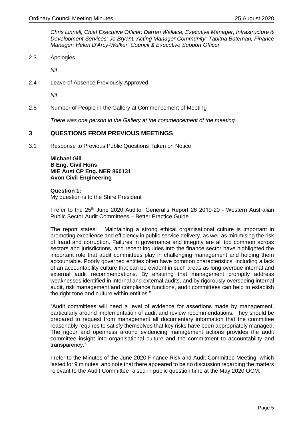*Chris Linnell, Chief Executive Officer; Darren Wallace, Executive Manager, Infrastructure & Development Services; Jo Bryant, Acting Manager Community; Tabitha Bateman, Finance Manager; Helen D'Arcy-Walker, Council & Executive Support Officer*

<span id="page-4-0"></span>2.3 Apologies

*Nil*

<span id="page-4-1"></span>2.4 Leave of Absence Previously Approved

*Nil*

<span id="page-4-2"></span>2.5 Number of People in the Gallery at Commencement of Meeting

*There was one person in the Gallery at the commencement of the meeting.*

#### <span id="page-4-3"></span>**3 QUESTIONS FROM PREVIOUS MEETINGS**

<span id="page-4-4"></span>3.1 Response to Previous Public Questions Taken on Notice

**Michael Gill B Eng. Civil Hons MIE Aust CP Eng. NER 860131 Avon Civil Engineering**

**Question 1:** My question is to the Shire President

I refer to the 25<sup>th</sup> June 2020 Auditor General's Report 26 2019-20 - Western Australian Public Sector Audit Committees – Better Practice Guide

The report states: "Maintaining a strong ethical organisational culture is important in promoting excellence and efficiency in public service delivery, as well as minimising the risk of fraud and corruption. Failures in governance and integrity are all too common across sectors and jurisdictions, and recent inquiries into the finance sector have highlighted the important role that audit committees play in challenging management and holding them accountable. Poorly governed entities often have common characteristics, including a lack of an accountability culture that can be evident in such areas as long overdue internal and external audit recommendations. By ensuring that management promptly address weaknesses identified in internal and external audits, and by rigorously overseeing internal audit, risk management and compliance functions, audit committees can help to establish the right tone and culture within entities."

"Audit committees will need a level of evidence for assertions made by management, particularly around implementation of audit and review recommendations. They should be prepared to request from management all documentary information that the committee reasonably requires to satisfy themselves that key risks have been appropriately managed. The rigour and openness around evidencing management actions provides the audit committee insight into organisational culture and the commitment to accountability and transparency."

I refer to the Minutes of the June 2020 Finance Risk and Audit Committee Meeting, which lasted for 9 minutes, and note that there appeared to be no discussion regarding the matters relevant to the Audit Committee raised in public question time at the May 2020 OCM.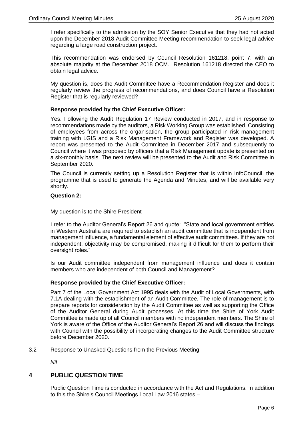I refer specifically to the admission by the SOY Senior Executive that they had not acted upon the December 2018 Audit Committee Meeting recommendation to seek legal advice regarding a large road construction project.

This recommendation was endorsed by Council Resolution 161218, point 7. with an absolute majority at the December 2018 OCM. Resolution 161218 directed the CEO to obtain legal advice.

My question is, does the Audit Committee have a Recommendation Register and does it regularly review the progress of recommendations, and does Council have a Resolution Register that is regularly reviewed?

#### **Response provided by the Chief Executive Officer:**

Yes. Following the Audit Regulation 17 Review conducted in 2017, and in response to recommendations made by the auditors, a Risk Working Group was established. Consisting of employees from across the organisation, the group participated in risk management training with LGIS and a Risk Management Framework and Register was developed. A report was presented to the Audit Committee in December 2017 and subsequently to Council where it was proposed by officers that a Risk Management update is presented on a six-monthly basis. The next review will be presented to the Audit and Risk Committee in September 2020.

The Council is currently setting up a Resolution Register that is within InfoCouncil, the programme that is used to generate the Agenda and Minutes, and will be available very shortly.

#### **Question 2:**

My question is to the Shire President

I refer to the Auditor General's Report 26 and quote: "State and local government entities in Western Australia are required to establish an audit committee that is independent from management influence, a fundamental element of effective audit committees. If they are not independent, objectivity may be compromised, making it difficult for them to perform their oversight roles."

Is our Audit committee independent from management influence and does it contain members who are independent of both Council and Management?

#### **Response provided by the Chief Executive Officer:**

Part 7 of the Local Government Act 1995 deals with the Audit of Local Governments, with 7.1A dealing with the establishment of an Audit Committee. The role of management is to prepare reports for consideration by the Audit Committee as well as supporting the Office of the Auditor General during Audit processes. At this time the Shire of York Audit Committee is made up of all Council members with no independent members. The Shire of York is aware of the Office of the Auditor General's Report 26 and will discuss the findings with Council with the possibility of incorporating changes to the Audit Committee structure before December 2020.

<span id="page-5-0"></span>3.2 Response to Unasked Questions from the Previous Meeting

*Nil*

#### <span id="page-5-1"></span>**4 PUBLIC QUESTION TIME**

Public Question Time is conducted in accordance with the Act and Regulations. In addition to this the Shire's Council Meetings Local Law 2016 states –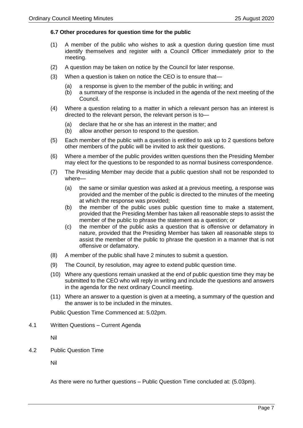#### **6.7 Other procedures for question time for the public**

- (1) A member of the public who wishes to ask a question during question time must identify themselves and register with a Council Officer immediately prior to the meeting.
- (2) A question may be taken on notice by the Council for later response.
- (3) When a question is taken on notice the CEO is to ensure that—
	- (a) a response is given to the member of the public in writing; and
	- (b) a summary of the response is included in the agenda of the next meeting of the Council.
- (4) Where a question relating to a matter in which a relevant person has an interest is directed to the relevant person, the relevant person is to—
	- (a) declare that he or she has an interest in the matter; and
	- (b) allow another person to respond to the question.
- (5) Each member of the public with a question is entitled to ask up to 2 questions before other members of the public will be invited to ask their questions.
- (6) Where a member of the public provides written questions then the Presiding Member may elect for the questions to be responded to as normal business correspondence.
- (7) The Presiding Member may decide that a public question shall not be responded to where—
	- (a) the same or similar question was asked at a previous meeting, a response was provided and the member of the public is directed to the minutes of the meeting at which the response was provided;
	- (b) the member of the public uses public question time to make a statement, provided that the Presiding Member has taken all reasonable steps to assist the member of the public to phrase the statement as a question; or
	- (c) the member of the public asks a question that is offensive or defamatory in nature, provided that the Presiding Member has taken all reasonable steps to assist the member of the public to phrase the question in a manner that is not offensive or defamatory.
- (8) A member of the public shall have 2 minutes to submit a question.
- (9) The Council, by resolution, may agree to extend public question time.
- (10) Where any questions remain unasked at the end of public question time they may be submitted to the CEO who will reply in writing and include the questions and answers in the agenda for the next ordinary Council meeting.
- (11) Where an answer to a question is given at a meeting, a summary of the question and the answer is to be included in the minutes.

Public Question Time Commenced at: 5.02pm.

<span id="page-6-0"></span>4.1 Written Questions – Current Agenda

Nil

<span id="page-6-1"></span>4.2 Public Question Time

Nil

As there were no further questions – Public Question Time concluded at: (5.03pm).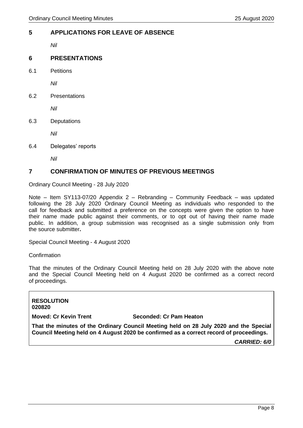# <span id="page-7-0"></span>**5 APPLICATIONS FOR LEAVE OF ABSENCE**

*Nil*

# <span id="page-7-1"></span>**6 PRESENTATIONS**

<span id="page-7-2"></span>6.1 Petitions

*Nil*

<span id="page-7-3"></span>6.2 Presentations

*Nil*

<span id="page-7-4"></span>6.3 Deputations

*Nil*

<span id="page-7-5"></span>6.4 Delegates' reports

*Nil*

# <span id="page-7-6"></span>**7 CONFIRMATION OF MINUTES OF PREVIOUS MEETINGS**

Ordinary Council Meeting - 28 July 2020

Note – Item SY113-07/20 Appendix 2 – Rebranding – Community Feedback – was updated following the 28 July 2020 Ordinary Council Meeting as individuals who responded to the call for feedback and submitted a preference on the concepts were given the option to have their name made public against their comments, or to opt out of having their name made public. In addition, a group submission was recognised as a single submission only from the source submitter**.**

Special Council Meeting - 4 August 2020

#### **Confirmation**

That the minutes of the Ordinary Council Meeting held on 28 July 2020 with the above note and the Special Council Meeting held on 4 August 2020 be confirmed as a correct record of proceedings.

#### **RESOLUTION 020820**

#### **Moved: Cr Kevin Trent Seconded: Cr Pam Heaton**

**That the minutes of the Ordinary Council Meeting held on 28 July 2020 and the Special Council Meeting held on 4 August 2020 be confirmed as a correct record of proceedings.**

*CARRIED: 6/0*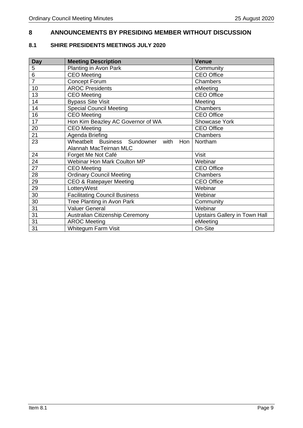# <span id="page-8-0"></span>**ANNOUNCEMENTS BY PRESIDING MEMBER WITHOUT DISCUSSION**

# <span id="page-8-1"></span>**8.1 SHIRE PRESIDENTS MEETINGS JULY 2020**

| <b>Day</b>     | <b>Meeting Description</b>                    | <b>Venue</b>                         |
|----------------|-----------------------------------------------|--------------------------------------|
| 5              | Planting in Avon Park                         | Community                            |
| 6              | CEO Meeting                                   | <b>CEO Office</b>                    |
| $\overline{7}$ | <b>Concept Forum</b>                          | Chambers                             |
| 10             | <b>AROC Presidents</b>                        | eMeeting                             |
| 13             | <b>CEO</b> Meeting                            | <b>CEO Office</b>                    |
| 14             | <b>Bypass Site Visit</b>                      | Meeting                              |
| 14             | <b>Special Council Meeting</b>                | Chambers                             |
| 16             | <b>CEO</b> Meeting                            | <b>CEO Office</b>                    |
| 17             | Hon Kim Beazley AC Governor of WA             | Showcase York                        |
| 20             | <b>CEO</b> Meeting                            | <b>CEO Office</b>                    |
| 21             | Agenda Briefing                               | Chambers                             |
| 23             | Wheatbelt Business Sundowner<br>with<br>Hon I | Northam                              |
|                | Alannah MacTeirnan MLC                        |                                      |
| 24             | Forget Me Not Café                            | <b>Visit</b>                         |
| 24             | Webinar Hon Mark Coulton MP                   | Webinar                              |
| 27             | <b>CEO</b> Meeting                            | <b>CEO Office</b>                    |
| 28             | <b>Ordinary Council Meeting</b>               | Chambers                             |
| 29             | CEO & Ratepayer Meeting                       | <b>CEO Office</b>                    |
| 29             | LotteryWest                                   | Webinar                              |
| 30             | <b>Facilitating Council Business</b>          | Webinar                              |
| 30             | Tree Planting in Avon Park                    | Community                            |
| 31             | <b>Valuer General</b>                         | Webinar                              |
| 31             | Australian Citizenship Ceremony               | <b>Upstairs Gallery in Town Hall</b> |
| 31             | <b>AROC Meeting</b>                           | eMeeting                             |
| 31             | <b>Whitegum Farm Visit</b>                    | On-Site                              |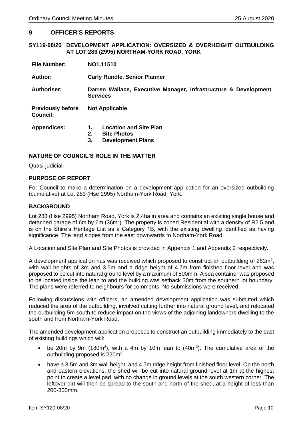#### <span id="page-9-0"></span>**9 OFFICER'S REPORTS**

#### <span id="page-9-1"></span>**SY119-08/20 DEVELOPMENT APPLICATION: OVERSIZED & OVERHEIGHT OUTBUILDING AT LOT 283 (2995) NORTHAM-YORK ROAD, YORK**

| <b>File Number:</b>                         | NO1.11510                                                                                         |  |  |
|---------------------------------------------|---------------------------------------------------------------------------------------------------|--|--|
| Author:                                     | <b>Carly Rundle, Senior Planner</b>                                                               |  |  |
| Authoriser:                                 | Darren Wallace, Executive Manager, Infrastructure & Development<br><b>Services</b>                |  |  |
| <b>Previously before</b><br><b>Council:</b> | <b>Not Applicable</b>                                                                             |  |  |
| <b>Appendices:</b>                          | <b>Location and Site Plan</b><br>1.<br>2.<br><b>Site Photos</b><br>3.<br><b>Development Plans</b> |  |  |

#### **NATURE OF COUNCIL'S ROLE IN THE MATTER**

Quasi-judicial.

#### **PURPOSE OF REPORT**

For Council to make a determination on a development application for an oversized outbuilding (cumulative) at Lot 283 (Hse 2995) Northam-York Road, York.

#### **BACKGROUND**

Lot 283 (Hse 2995) Northam Road, York is 2.4ha in area and contains an existing single house and detached garage of 6m by 6m (36m<sup>2</sup>). The property is zoned Residential with a density of R2.5 and is on the Shire's Heritage List as a Category 1B, with the existing dwelling identified as having significance. The land slopes from the east downwards to Northam-York Road.

A Location and Site Plan and Site Photos is provided in Appendix 1 and Appendix 2 respectively**.**

A development application has was received which proposed to construct an outbuilding of 262m<sup>2</sup>, with wall heights of 3m and 3.5m and a ridge height of 4.7m from finished floor level and was proposed to be cut into natural ground level by a maximum of 500mm. A sea container was proposed to be located inside the lean to and the building was setback 30m from the southern lot boundary. The plans were referred to neighbours for comments. No submissions were received.

Following discussions with officers, an amended development application was submitted which reduced the area of the outbuilding, involved cutting further into natural ground level, and relocated the outbuilding 5m south to reduce impact on the views of the adjoining landowners dwelling to the south and from Northam-York Road.

The amended development application proposes to construct an outbuilding immediately to the east of existing buildings which will:

- be 20m by 9m (180m<sup>2</sup>), with a 4m by 10m lean to  $(40m^2)$ . The cumulative area of the outbuilding proposed is 220m<sup>2</sup>.
- have a 3.5m and 3m wall height, and 4.7m ridge height from finished floor level. On the north and eastern elevations, the shed will be cut into natural ground level at 1m at the highest point to create a level pad, with no change in ground levels at the south western corner. The leftover dirt will then be spread to the south and north of the shed, at a height of less than 200-300mm.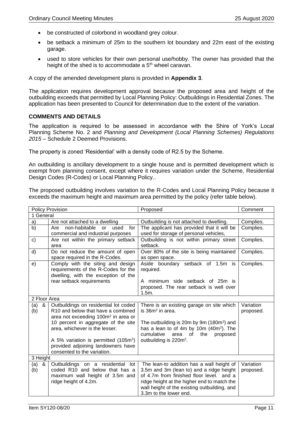- be constructed of colorbond in woodland grey colour.
- be setback a minimum of 25m to the southern lot boundary and 22m east of the existing garage.
- used to store vehicles for their own personal use/hobby. The owner has provided that the height of the shed is to accommodate a 5<sup>th</sup> wheel caravan.

A copy of the amended development plans is provided in **Appendix 3**.

The application requires development approval because the proposed area and height of the outbuilding exceeds that permitted by Local Planning Policy: Outbuildings in Residential Zones. The application has been presented to Council for determination due to the extent of the variation.

#### **COMMENTS AND DETAILS**

The application is required to be assessed in accordance with the Shire of York's Local Planning Scheme No. 2 and *Planning and Development (Local Planning Schemes) Regulations 2015* – Schedule 2 Deemed Provisions.

The property is zoned 'Residential' with a density code of R2.5 by the Scheme.

An outbuilding is ancillary development to a single house and is permitted development which is exempt from planning consent, except where it requires variation under the Scheme, Residential Design Codes (R-Codes) or Local Planning Policy..

The proposed outbuilding involves variation to the R-Codes and Local Planning Policy because it exceeds the maximum height and maximum area permitted by the policy (refer table below).

|               | Policy Provision                                                      | Proposed                                                                                                     | Comment   |  |
|---------------|-----------------------------------------------------------------------|--------------------------------------------------------------------------------------------------------------|-----------|--|
| 1 General     |                                                                       |                                                                                                              |           |  |
| a)            | Are not attached to a dwelling                                        | Outbuilding is not attached to dwelling.                                                                     | Complies. |  |
| b)            | non-habitable<br>Are<br>used<br>for<br><b>or</b>                      | The applicant has provided that it will be                                                                   | Complies. |  |
|               | commercial and industrial purposes                                    | used for storage of personal vehicles,                                                                       |           |  |
| $\mathsf{c})$ | Are not within the primary setback                                    | Outbuilding is not within primary street                                                                     | Complies. |  |
|               | area                                                                  | setback.                                                                                                     |           |  |
| d)            | Do not reduce the amount of open                                      | Over 80% of the site is being maintained                                                                     | Complies. |  |
|               | space required in the R-Codes.                                        | as open space.                                                                                               |           |  |
| e)            | Comply with the siting and design                                     | Aside boundary setback of 1.5m is                                                                            | Complies. |  |
|               | requirements of the R-Codes for the                                   | required.                                                                                                    |           |  |
|               | dwelling, with the exception of the                                   |                                                                                                              |           |  |
|               | rear setback requirements                                             | A minimum side setback of 25m is                                                                             |           |  |
|               |                                                                       | proposed. The rear setback is well over                                                                      |           |  |
|               |                                                                       | 1.5m.                                                                                                        |           |  |
| 2 Floor Area  |                                                                       |                                                                                                              |           |  |
| (a)<br>&      | Outbuildings on residential lot coded                                 | There is an existing garage on site which                                                                    | Variation |  |
| (b)           | R10 and below that have a combined                                    | is 36m <sup>2</sup> in area.                                                                                 | proposed. |  |
|               | area not exceeding 100m <sup>2</sup> in area or                       |                                                                                                              |           |  |
|               | 10 percent in aggregate of the site<br>area, whichever is the lesser. | The outbuilding is 20m by 9m (180m <sup>2</sup> ) and<br>has a lean to of 4m by 10m (40m <sup>2</sup> ). The |           |  |
|               |                                                                       | cumulative<br>of<br>the<br>area                                                                              |           |  |
|               | A 5% variation is permitted (105m <sup>2</sup> )                      | proposed<br>outbuilding is 220m <sup>2</sup> .                                                               |           |  |
|               | provided adjoining landowners have                                    |                                                                                                              |           |  |
|               | consented to the variation.                                           |                                                                                                              |           |  |
| 3 Height      |                                                                       |                                                                                                              |           |  |
| (a)<br>&      | Outbuildings on a residential lot                                     | The lean-to addition has a wall height of                                                                    | Variation |  |
| (b)           | coded R10 and below that has a                                        | 3.5m and 3m (lean to) and a ridge height                                                                     | proposed. |  |
|               | maximum wall height of 3.5m and                                       | of 4.7m from finished floor level. and a                                                                     |           |  |
|               | ridge height of 4.2m.                                                 | ridge height at the higher end to match the                                                                  |           |  |
|               |                                                                       | wall height of the existing outbuilding, and                                                                 |           |  |
|               |                                                                       | 3.3m to the lower end.                                                                                       |           |  |
|               |                                                                       |                                                                                                              |           |  |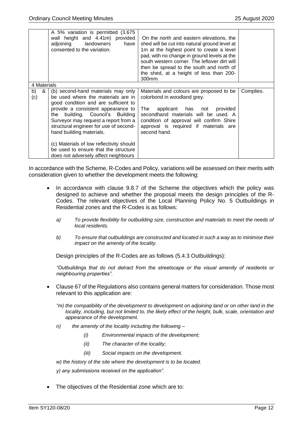|                | A 5% variation is permitted (3.675)<br>wall height and 4.41m) provided<br>adjoining landowners<br>have<br>consented to the variation.                                                                                                                                                                                                                                                                                                | On the north and eastern elevations, the<br>shed will be cut into natural ground level at<br>1m at the highest point to create a level<br>pad, with no change in ground levels at the<br>south western corner. The leftover dirt will<br>then be spread to the south and north of<br>the shed, at a height of less than 200-<br>300mm. |           |
|----------------|--------------------------------------------------------------------------------------------------------------------------------------------------------------------------------------------------------------------------------------------------------------------------------------------------------------------------------------------------------------------------------------------------------------------------------------|----------------------------------------------------------------------------------------------------------------------------------------------------------------------------------------------------------------------------------------------------------------------------------------------------------------------------------------|-----------|
| 4 Materials    |                                                                                                                                                                                                                                                                                                                                                                                                                                      |                                                                                                                                                                                                                                                                                                                                        |           |
| b)<br>&<br>(c) | (b) second-hand materials may only<br>be used where the materials are in<br>good condition and are sufficient to<br>provide a consistent appearance to<br>the building. Council's Building<br>Surveyor may request a report from a<br>structural engineer for use of second-<br>hand building materials.<br>(c) Materials of low reflectivity should<br>be used to ensure that the structure<br>does not adversely affect neighbours | Materials and colours are proposed to be<br>colorbond in woodland grey.<br>applicant has not<br>The<br>provided<br>secondhand materials will be used. A<br>condition of approval will confirm Shire<br>approval is required if materials are<br>second hand.                                                                           | Complies. |

In accordance with the Scheme, R-Codes and Policy, variations will be assessed on their merits with consideration given to whether the development meets the following:

- In accordance with clause 9.8.7 of the Scheme the objectives which the policy was designed to achieve and whether the proposal meets the design principles of the R-Codes. The relevant objectives of the Local Planning Policy No. 5 Outbuildings in Residential zones and the R-Codes is as follows:
	- *a) To provide flexibility for outbuilding size, construction and materials to meet the needs of local residents.*
	- *b) To ensure that outbuildings are constructed and located in such a way as to minimise their impact on the amenity of the locality.*

Design principles of the R-Codes are as follows (5.4.3 Outbuildings):

*"Outbuildings that do not detract from the streetscape or the visual amenity of residents or neighbouring properties".* 

- Clause 67 of the Regulations also contains general matters for consideration. Those most relevant to this application are:
	- *"m) the compatibility of the development to development on adjoining land or on other land in the locality, including, but not limited to, the likely effect of the height, bulk, scale, orientation and appearance of the development.*
	- *n) the amenity of the locality including the following –*
		- *(i) Environmental impacts of the development;*
		- *(ii) The character of the locality;*
		- *(iii) Social impacts on the development.*
	- *w) the history of the site where the development is to be located.*

*y) any submissions received on the application".* 

The objectives of the Residential zone which are to: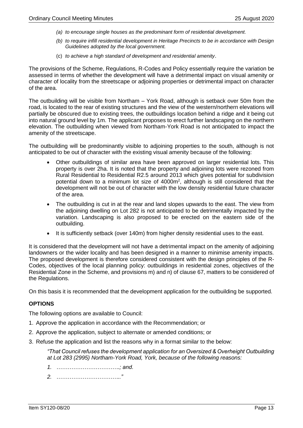- *(a) to encourage single houses as the predominant form of residential development.*
- *(b) to require infill residential development in Heritage Precincts to be in accordance with Design Guidelines adopted by the local government.*
- (c) *to achieve a high standard of development and residential amenity*.

The provisions of the Scheme, Regulations, R-Codes and Policy essentially require the variation be assessed in terms of whether the development will have a detrimental impact on visual amenity or character of locality from the streetscape or adjoining properties or detrimental impact on character of the area.

The outbuilding will be visible from Northam – York Road, although is setback over 50m from the road, is located to the rear of existing structures and the view of the western/northern elevations will partially be obscured due to existing trees, the outbuildings location behind a ridge and it being cut into natural ground level by 1m. The applicant proposes to erect further landscaping on the northern elevation. The outbuilding when viewed from Northam-York Road is not anticipated to impact the amenity of the streetscape.

The outbuilding will be predominantly visible to adjoining properties to the south, although is not anticipated to be out of character with the existing visual amenity because of the following:

- Other outbuildings of similar area have been approved on larger residential lots. This property is over 2ha. It is noted that the property and adjoining lots were rezoned from Rural Residential to Residential R2.5 around 2013 which gives potential for subdivision potential down to a minimum lot size of 4000m<sup>2</sup>, although is still considered that the development will not be out of character with the low density residential future character of the area.
- The outbuilding is cut in at the rear and land slopes upwards to the east. The view from the adjoining dwelling on Lot 282 is not anticipated to be detrimentally impacted by the variation. Landscaping is also proposed to be erected on the eastern side of the outbuilding.
- It is sufficiently setback (over 140m) from higher density residential uses to the east.

It is considered that the development will not have a detrimental impact on the amenity of adjoining landowners or the wider locality and has been designed in a manner to minimise amenity impacts. The proposed development is therefore considered consistent with the design principles of the R-Codes, objectives of the local planning policy: outbuildings in residential zones, objectives of the Residential Zone in the Scheme, and provisions m) and n) of clause 67, matters to be considered of the Regulations.

On this basis it is recommended that the development application for the outbuilding be supported.

#### **OPTIONS**

The following options are available to Council:

- 1. Approve the application in accordance with the Recommendation; or
- 2. Approve the application, subject to alternate or amended conditions; or
- 3. Refuse the application and list the reasons why in a format similar to the below:

*"That Council refuses the development application for an Oversized & Overheight Outbuilding at Lot 283 (2995) Northam-York Road, York, because of the following reasons:* 

*1. …………………………….; and.* 

*2. …………………………….."*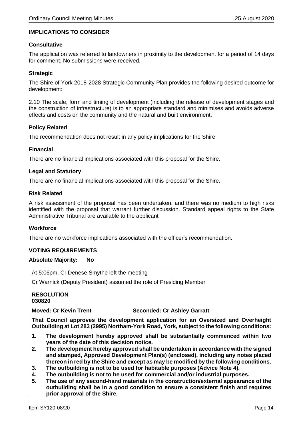#### **IMPLICATIONS TO CONSIDER**

#### **Consultative**

The application was referred to landowners in proximity to the development for a period of 14 days for comment. No submissions were received.

#### **Strategic**

The Shire of York 2018-2028 Strategic Community Plan provides the following desired outcome for development:

2.10 The scale, form and timing of development (including the release of development stages and the construction of infrastructure) is to an appropriate standard and minimises and avoids adverse effects and costs on the community and the natural and built environment.

#### **Policy Related**

The recommendation does not result in any policy implications for the Shire

#### **Financial**

There are no financial implications associated with this proposal for the Shire.

#### **Legal and Statutory**

There are no financial implications associated with this proposal for the Shire.

#### **Risk Related**

A risk assessment of the proposal has been undertaken, and there was no medium to high risks identified with the proposal that warrant further discussion. Standard appeal rights to the State Administrative Tribunal are available to the applicant

#### **Workforce**

There are no workforce implications associated with the officer's recommendation.

#### **VOTING REQUIREMENTS**

#### **Absolute Majority: No**

At 5:06pm, Cr Denese Smythe left the meeting

Cr Warnick (Deputy President) assumed the role of Presiding Member

**RESOLUTION 030820**

#### **Moved: Cr Kevin Trent Seconded: Cr Ashley Garratt**

**That Council approves the development application for an Oversized and Overheight Outbuilding at Lot 283 (2995) Northam-York Road, York, subject to the following conditions:**

- **1. The development hereby approved shall be substantially commenced within two years of the date of this decision notice.**
- **2. The development hereby approved shall be undertaken in accordance with the signed and stamped, Approved Development Plan(s) (enclosed), including any notes placed thereon in red by the Shire and except as may be modified by the following conditions.**
- **3. The outbuilding is not to be used for habitable purposes (Advice Note 4).**
- **4. The outbuilding is not to be used for commercial and/or industrial purposes.**
- **5. The use of any second-hand materials in the construction/external appearance of the outbuilding shall be in a good condition to ensure a consistent finish and requires prior approval of the Shire.**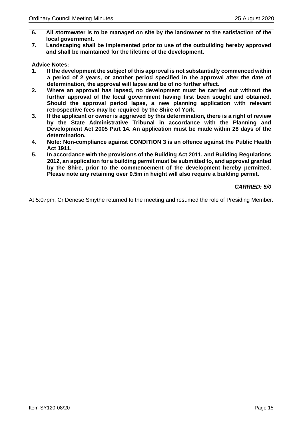- **6. All stormwater is to be managed on site by the landowner to the satisfaction of the local government.**
- **7. Landscaping shall be implemented prior to use of the outbuilding hereby approved and shall be maintained for the lifetime of the development.**

**Advice Notes:**

- **1. If the development the subject of this approval is not substantially commenced within a period of 2 years, or another period specified in the approval after the date of determination, the approval will lapse and be of no further effect.**
- **2. Where an approval has lapsed, no development must be carried out without the further approval of the local government having first been sought and obtained. Should the approval period lapse, a new planning application with relevant retrospective fees may be required by the Shire of York.**
- **3. If the applicant or owner is aggrieved by this determination, there is a right of review by the State Administrative Tribunal in accordance with the Planning and Development Act 2005 Part 14. An application must be made within 28 days of the determination.**
- **4. Note: Non-compliance against CONDITION 3 is an offence against the Public Health Act 1911.**
- **5. In accordance with the provisions of the Building Act 2011, and Building Regulations 2012, an application for a building permit must be submitted to, and approval granted by the Shire, prior to the commencement of the development hereby permitted. Please note any retaining over 0.5m in height will also require a building permit.**

*CARRIED: 5/0*

<span id="page-14-0"></span>At 5:07pm, Cr Denese Smythe returned to the meeting and resumed the role of Presiding Member.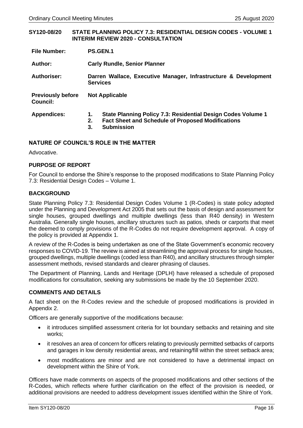| SY120-08/20                                 |                | <b>STATE PLANNING POLICY 7.3: RESIDENTIAL DESIGN CODES - VOLUME 1</b><br><b>INTERIM REVIEW 2020 - CONSULTATION</b>                            |  |  |
|---------------------------------------------|----------------|-----------------------------------------------------------------------------------------------------------------------------------------------|--|--|
| <b>File Number:</b>                         |                | <b>PS.GEN.1</b>                                                                                                                               |  |  |
| Author:                                     |                | <b>Carly Rundle, Senior Planner</b>                                                                                                           |  |  |
| Authoriser:                                 |                | Darren Wallace, Executive Manager, Infrastructure & Development<br><b>Services</b>                                                            |  |  |
| <b>Previously before</b><br><b>Council:</b> |                | <b>Not Applicable</b>                                                                                                                         |  |  |
| <b>Appendices:</b>                          | 1.<br>2.<br>3. | State Planning Policy 7.3: Residential Design Codes Volume 1<br><b>Fact Sheet and Schedule of Proposed Modifications</b><br><b>Submission</b> |  |  |

#### **NATURE OF COUNCIL'S ROLE IN THE MATTER**

Advocative.

#### **PURPOSE OF REPORT**

For Council to endorse the Shire's response to the proposed modifications to State Planning Policy 7.3: Residential Design Codes – Volume 1.

#### **BACKGROUND**

State Planning Policy 7.3: Residential Design Codes Volume 1 (R-Codes) is state policy adopted under the Planning and Development Act 2005 that sets out the basis of design and assessment for single houses, grouped dwellings and multiple dwellings (less than R40 density) in Western Australia. Generally single houses, ancillary structures such as patios, sheds or carports that meet the deemed to comply provisions of the R-Codes do not require development approval. A copy of the policy is provided at Appendix 1.

A review of the R-Codes is being undertaken as one of the State Government's economic recovery responses to COVID-19. The review is aimed at streamlining the approval process for single houses, grouped dwellings, multiple dwellings (coded less than R40), and ancillary structures through simpler assessment methods, revised standards and clearer phrasing of clauses.

The Department of Planning, Lands and Heritage (DPLH) have released a schedule of proposed modifications for consultation, seeking any submissions be made by the 10 September 2020.

#### **COMMENTS AND DETAILS**

A fact sheet on the R-Codes review and the schedule of proposed modifications is provided in Appendix 2.

Officers are generally supportive of the modifications because:

- it introduces simplified assessment criteria for lot boundary setbacks and retaining and site works;
- it resolves an area of concern for officers relating to previously permitted setbacks of carports and garages in low density residential areas, and retaining/fill within the street setback area;
- most modifications are minor and are not considered to have a detrimental impact on development within the Shire of York.

Officers have made comments on aspects of the proposed modifications and other sections of the R-Codes, which reflects where further clarification on the effect of the provision is needed, or additional provisions are needed to address development issues identified within the Shire of York.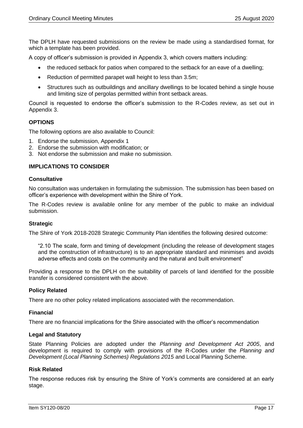The DPLH have requested submissions on the review be made using a standardised format, for which a template has been provided.

A copy of officer's submission is provided in Appendix 3, which covers matters including:

- the reduced setback for patios when compared to the setback for an eave of a dwelling;
- Reduction of permitted parapet wall height to less than 3.5m;
- Structures such as outbuildings and ancillary dwellings to be located behind a single house and limiting size of pergolas permitted within front setback areas.

Council is requested to endorse the officer's submission to the R-Codes review, as set out in Appendix 3.

#### **OPTIONS**

The following options are also available to Council:

- 1. Endorse the submission, Appendix 1
- 2. Endorse the submission with modification; or
- 3. Not endorse the submission and make no submission.

#### **IMPLICATIONS TO CONSIDER**

#### **Consultative**

No consultation was undertaken in formulating the submission. The submission has been based on officer's experience with development within the Shire of York.

The R-Codes review is available online for any member of the public to make an individual submission.

#### **Strategic**

The Shire of York 2018-2028 Strategic Community Plan identifies the following desired outcome:

"2.10 The scale, form and timing of development (including the release of development stages and the construction of infrastructure) is to an appropriate standard and minimises and avoids adverse effects and costs on the community and the natural and built environment"

Providing a response to the DPLH on the suitability of parcels of land identified for the possible transfer is considered consistent with the above.

#### **Policy Related**

There are no other policy related implications associated with the recommendation.

#### **Financial**

There are no financial implications for the Shire associated with the officer's recommendation

#### **Legal and Statutory**

State Planning Policies are adopted under the *Planning and Development Act 2005*, and development is required to comply with provisions of the R-Codes under the *Planning and Development (Local Planning Schemes) Regulations 2015* and Local Planning Scheme.

#### **Risk Related**

The response reduces risk by ensuring the Shire of York's comments are considered at an early stage.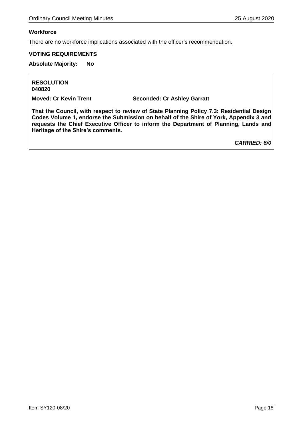#### **Workforce**

There are no workforce implications associated with the officer's recommendation.

#### **VOTING REQUIREMENTS**

**Absolute Majority: No**

**RESOLUTION 040820**

**Moved: Cr Kevin Trent Seconded: Cr Ashley Garratt**

**That the Council, with respect to review of State Planning Policy 7.3: Residential Design Codes Volume 1, endorse the Submission on behalf of the Shire of York, Appendix 3 and requests the Chief Executive Officer to inform the Department of Planning, Lands and Heritage of the Shire's comments.** 

*CARRIED: 6/0*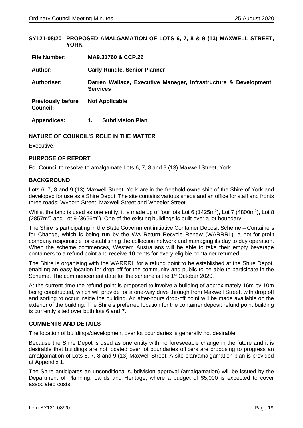<span id="page-18-0"></span>**SY121-08/20 PROPOSED AMALGAMATION OF LOTS 6, 7, 8 & 9 (13) MAXWELL STREET, YORK**

| <b>File Number:</b>                         | MA9.31760 & CCP.26                                                                 |
|---------------------------------------------|------------------------------------------------------------------------------------|
| Author:                                     | <b>Carly Rundle, Senior Planner</b>                                                |
| <b>Authoriser:</b>                          | Darren Wallace, Executive Manager, Infrastructure & Development<br><b>Services</b> |
| <b>Previously before</b><br><b>Council:</b> | <b>Not Applicable</b>                                                              |
| <b>Appendices:</b>                          | <b>Subdivision Plan</b><br>1.                                                      |

#### **NATURE OF COUNCIL'S ROLE IN THE MATTER**

Executive.

#### **PURPOSE OF REPORT**

For Council to resolve to amalgamate Lots 6, 7, 8 and 9 (13) Maxwell Street, York.

#### **BACKGROUND**

Lots 6, 7, 8 and 9 (13) Maxwell Street, York are in the freehold ownership of the Shire of York and developed for use as a Shire Depot. The site contains various sheds and an office for staff and fronts three roads; Wyborn Street, Maxwell Street and Wheeler Street.

Whilst the land is used as one entity, it is made up of four lots Lot 6 (1425 $m^2$ ), Lot 7 (4800 $m^2$ ), Lot 8  $(2857m<sup>2</sup>)$  and Lot 9 (3666m<sup>2</sup>). One of the existing buildings is built over a lot boundary.

The Shire is participating in the State Government initiative Container Deposit Scheme – Containers for Change, which is being run by the WA Return Recycle Renew (WARRRL), a not-for-profit company responsible for establishing the collection network and managing its day to day operation. When the scheme commences, Western Australians will be able to take their empty beverage containers to a refund point and receive 10 cents for every eligible container returned.

The Shire is organising with the WARRRL for a refund point to be established at the Shire Depot, enabling an easy location for drop-off for the community and public to be able to participate in the Scheme. The commencement date for the scheme is the 1<sup>st</sup> October 2020.

At the current time the refund point is proposed to involve a building of approximately 16m by 10m being constructed, which will provide for a one-way drive through from Maxwell Street, with drop off and sorting to occur inside the building. An after-hours drop-off point will be made available on the exterior of the building. The Shire's preferred location for the container deposit refund point building is currently sited over both lots 6 and 7.

#### **COMMENTS AND DETAILS**

The location of buildings/development over lot boundaries is generally not desirable.

Because the Shire Depot is used as one entity with no foreseeable change in the future and it is desirable that buildings are not located over lot boundaries officers are proposing to progress an amalgamation of Lots 6, 7, 8 and 9 (13) Maxwell Street. A site plan/amalgamation plan is provided at Appendix 1.

The Shire anticipates an unconditional subdivision approval (amalgamation) will be issued by the Department of Planning, Lands and Heritage, where a budget of \$5,000 is expected to cover associated costs.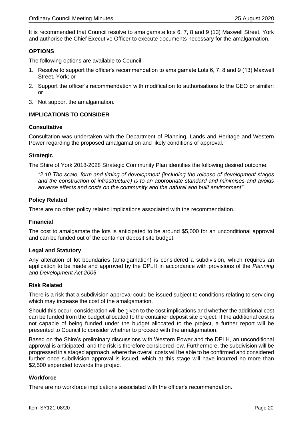It is recommended that Council resolve to amalgamate lots 6, 7, 8 and 9 (13) Maxwell Street, York and authorise the Chief Executive Officer to execute documents necessary for the amalgamation.

#### **OPTIONS**

The following options are available to Council:

- 1. Resolve to support the officer's recommendation to amalgamate Lots 6, 7, 8 and 9 (13) Maxwell Street, York; or
- 2. Support the officer's recommendation with modification to authorisations to the CEO or similar; or
- 3. Not support the amalgamation.

#### **IMPLICATIONS TO CONSIDER**

#### **Consultative**

Consultation was undertaken with the Department of Planning, Lands and Heritage and Western Power regarding the proposed amalgamation and likely conditions of approval.

#### **Strategic**

The Shire of York 2018-2028 Strategic Community Plan identifies the following desired outcome:

*"2.10 The scale, form and timing of development (including the release of development stages and the construction of infrastructure) is to an appropriate standard and minimises and avoids adverse effects and costs on the community and the natural and built environment"*

#### **Policy Related**

There are no other policy related implications associated with the recommendation.

#### **Financial**

The cost to amalgamate the lots is anticipated to be around \$5,000 for an unconditional approval and can be funded out of the container deposit site budget.

#### **Legal and Statutory**

Any alteration of lot boundaries (amalgamation) is considered a subdivision, which requires an application to be made and approved by the DPLH in accordance with provisions of the *Planning and Development Act 2005*.

#### **Risk Related**

There is a risk that a subdivision approval could be issued subject to conditions relating to servicing which may increase the cost of the amalgamation.

Should this occur, consideration will be given to the cost implications and whether the additional cost can be funded from the budget allocated to the container deposit site project. If the additional cost is not capable of being funded under the budget allocated to the project, a further report will be presented to Council to consider whether to proceed with the amalgamation.

Based on the Shire's preliminary discussions with Western Power and the DPLH, an unconditional approval is anticipated, and the risk is therefore considered low. Furthermore, the subdivision will be progressed in a staged approach, where the overall costs will be able to be confirmed and considered further once subdivision approval is issued, which at this stage will have incurred no more than \$2,500 expended towards the project

#### **Workforce**

There are no workforce implications associated with the officer's recommendation.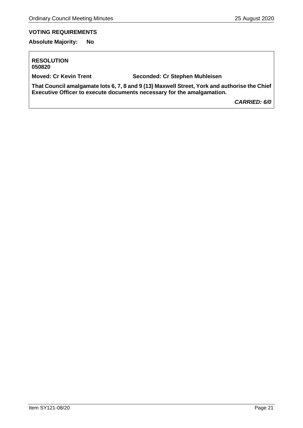# **VOTING REQUIREMENTS**

**Absolute Majority: No**

#### **RESOLUTION 050820**

**Moved: Cr Kevin Trent Seconded: Cr Stephen Muhleisen**

**That Council amalgamate lots 6, 7, 8 and 9 (13) Maxwell Street, York and authorise the Chief Executive Officer to execute documents necessary for the amalgamation.**

*CARRIED: 6/0*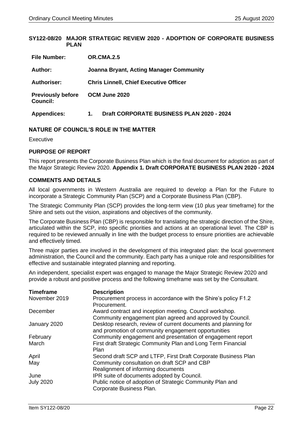<span id="page-21-0"></span>**SY122-08/20 MAJOR STRATEGIC REVIEW 2020 - ADOPTION OF CORPORATE BUSINESS PLAN**

| <b>File Number:</b>                         | OR.CMA.2.5                                      |
|---------------------------------------------|-------------------------------------------------|
| Author:                                     | <b>Joanna Bryant, Acting Manager Community</b>  |
| <b>Authoriser:</b>                          | <b>Chris Linnell, Chief Executive Officer</b>   |
| <b>Previously before</b><br><b>Council:</b> | OCM June 2020                                   |
| <b>Appendices:</b>                          | Draft CORPORATE BUSINESS PLAN 2020 - 2024<br>1. |

#### **NATURE OF COUNCIL'S ROLE IN THE MATTER**

Executive

#### **PURPOSE OF REPORT**

This report presents the Corporate Business Plan which is the final document for adoption as part of the Major Strategic Review 2020. **Appendix 1. Draft CORPORATE BUSINESS PLAN 2020 - 2024**

#### **COMMENTS AND DETAILS**

All local governments in Western Australia are required to develop a Plan for the Future to incorporate a Strategic Community Plan (SCP) and a Corporate Business Plan (CBP).

The Strategic Community Plan (SCP) provides the long-term view (10 plus year timeframe) for the Shire and sets out the vision, aspirations and objectives of the community.

The Corporate Business Plan (CBP) is responsible for translating the strategic direction of the Shire, articulated within the SCP, into specific priorities and actions at an operational level. The CBP is required to be reviewed annually in line with the budget process to ensure priorities are achievable and effectively timed.

Three major parties are involved in the development of this integrated plan: the local government administration, the Council and the community. Each party has a unique role and responsibilities for effective and sustainable integrated planning and reporting.

An independent, specialist expert was engaged to manage the Major Strategic Review 2020 and provide a robust and positive process and the following timeframe was set by the Consultant.

| <b>Timeframe</b> | <b>Description</b>                                             |
|------------------|----------------------------------------------------------------|
| November 2019    | Procurement process in accordance with the Shire's policy F1.2 |
|                  | Procurement.                                                   |
| December         | Award contract and inception meeting. Council workshop.        |
|                  | Community engagement plan agreed and approved by Council.      |
| January 2020     | Desktop research, review of current documents and planning for |
|                  | and promotion of community engagement opportunities            |
| February         | Community engagement and presentation of engagement report     |
| March            | First draft Strategic Community Plan and Long Term Financial   |
|                  | <b>Plan</b>                                                    |
| April            | Second draft SCP and LTFP, First Draft Corporate Business Plan |
| May              | Community consultation on draft SCP and CBP                    |
|                  | Realignment of informing documents                             |
| June             | IPR suite of documents adopted by Council.                     |
| <b>July 2020</b> | Public notice of adoption of Strategic Community Plan and      |
|                  | Corporate Business Plan.                                       |
|                  |                                                                |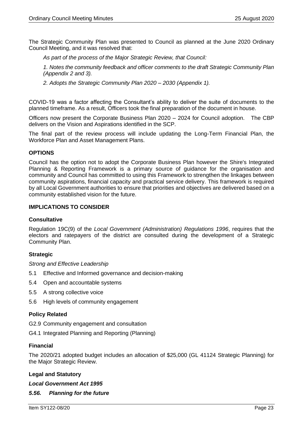The Strategic Community Plan was presented to Council as planned at the June 2020 Ordinary Council Meeting, and it was resolved that:

*As part of the process of the Major Strategic Review, that Council:*

*1. Notes the community feedback and officer comments to the draft Strategic Community Plan (Appendix 2 and 3).*

*2. Adopts the Strategic Community Plan 2020 – 2030 (Appendix 1).*

COVID-19 was a factor affecting the Consultant's ability to deliver the suite of documents to the planned timeframe. As a result, Officers took the final preparation of the document in house.

Officers now present the Corporate Business Plan 2020 – 2024 for Council adoption. The CBP delivers on the Vision and Aspirations identified in the SCP.

The final part of the review process will include updating the Long-Term Financial Plan, the Workforce Plan and Asset Management Plans.

#### **OPTIONS**

Council has the option not to adopt the Corporate Business Plan however the Shire's Integrated Planning & Reporting Framework is a primary source of guidance for the organisation and community and Council has committed to using this Framework to strengthen the linkages between community aspirations, financial capacity and practical service delivery. This framework is required by all Local Government authorities to ensure that priorities and objectives are delivered based on a community established vision for the future.

#### **IMPLICATIONS TO CONSIDER**

#### **Consultative**

Regulation 19C(9) of the *Local Government (Administration) Regulations 1996*, requires that the electors and ratepayers of the district are consulted during the development of a Strategic Community Plan.

#### **Strategic**

*Strong and Effective Leadership*

- 5.1 Effective and Informed governance and decision-making
- 5.4 Open and accountable systems
- 5.5 A strong collective voice
- 5.6 High levels of community engagement

#### **Policy Related**

- G2.9 Community engagement and consultation
- G4.1 Integrated Planning and Reporting (Planning)

#### **Financial**

The 2020/21 adopted budget includes an allocation of \$25,000 (GL 41124 Strategic Planning) for the Major Strategic Review.

#### **Legal and Statutory**

*Local Government Act 1995*

#### *5.56. Planning for the future*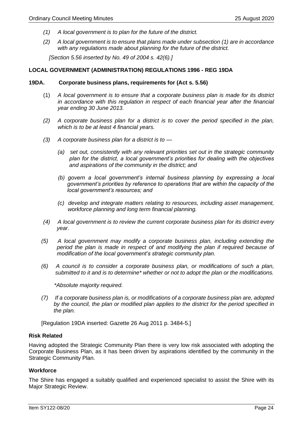- *(1) A local government is to plan for the future of the district.*
- *(2) A local government is to ensure that plans made under subsection (1) are in accordance with any regulations made about planning for the future of the district.*

 *[Section 5.56 inserted by No. 49 of 2004 s. 42(6).]*

#### **LOCAL GOVERNMENT (ADMINISTRATION) REGULATIONS 1996 - REG 19DA**

#### **19DA. Corporate business plans, requirements for (Act s. 5.56)**

- (1) *A local government is to ensure that a corporate business plan is made for its district in accordance with this regulation in respect of each financial year after the financial year ending 30 June 2013.*
- *(2) A corporate business plan for a district is to cover the period specified in the plan, which is to be at least 4 financial years.*
- *(3) A corporate business plan for a district is to —*
	- *(a) set out, consistently with any relevant priorities set out in the strategic community plan for the district, a local government's priorities for dealing with the objectives and aspirations of the community in the district; and*
	- *(b) govern a local government's internal business planning by expressing a local government's priorities by reference to operations that are within the capacity of the local government's resources; and*
	- *(c) develop and integrate matters relating to resources, including asset management, workforce planning and long term financial planning.*
- *(4) A local government is to review the current corporate business plan for its district every year.*
- *(5) A local government may modify a corporate business plan, including extending the*  period the plan is made in respect of and modifying the plan if required because of  *modification of the local government's strategic community plan.*
- *(6) A council is to consider a corporate business plan, or modifications of such a plan, submitted to it and is to determine\* whether or not to adopt the plan or the modifications.*

 *\*Absolute majority required.*

 *(7) If a corporate business plan is, or modifications of a corporate business plan are, adopted by the council, the plan or modified plan applies to the district for the period specified in the plan.*

[Regulation 19DA inserted: Gazette 26 Aug 2011 p. 3484-5.]

#### **Risk Related**

Having adopted the Strategic Community Plan there is very low risk associated with adopting the Corporate Business Plan, as it has been driven by aspirations identified by the community in the Strategic Community Plan.

#### **Workforce**

The Shire has engaged a suitably qualified and experienced specialist to assist the Shire with its Major Strategic Review.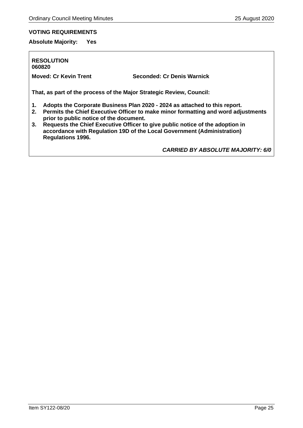# **VOTING REQUIREMENTS**

**Absolute Majority: Yes**

**RESOLUTION 060820**

**Moved: Cr Kevin Trent Seconded: Cr Denis Warnick**

**That, as part of the process of the Major Strategic Review, Council:**

- **1. Adopts the Corporate Business Plan 2020 - 2024 as attached to this report.**
- **2. Permits the Chief Executive Officer to make minor formatting and word adjustments prior to public notice of the document.**
- **3. Requests the Chief Executive Officer to give public notice of the adoption in accordance with Regulation 19D of the Local Government (Administration) Regulations 1996.**

*CARRIED BY ABSOLUTE MAJORITY: 6/0*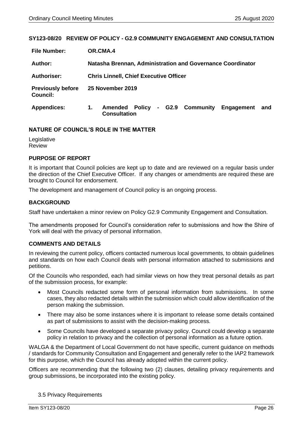#### <span id="page-25-0"></span>**SY123-08/20 REVIEW OF POLICY - G2.9 COMMUNITY ENGAGEMENT AND CONSULTATION**

| <b>File Number:</b>                         | OR.CMA.4                                                                                    |  |  |  |  |
|---------------------------------------------|---------------------------------------------------------------------------------------------|--|--|--|--|
| Author:                                     | Natasha Brennan, Administration and Governance Coordinator                                  |  |  |  |  |
| Authoriser:                                 | <b>Chris Linnell, Chief Executive Officer</b>                                               |  |  |  |  |
| <b>Previously before</b><br><b>Council:</b> | 25 November 2019                                                                            |  |  |  |  |
| <b>Appendices:</b>                          | - G2.9 Community<br><b>Amended Policy</b><br>Engagement<br>1.<br>and<br><b>Consultation</b> |  |  |  |  |

#### **NATURE OF COUNCIL'S ROLE IN THE MATTER**

Legislative Review

#### **PURPOSE OF REPORT**

It is important that Council policies are kept up to date and are reviewed on a regular basis under the direction of the Chief Executive Officer. If any changes or amendments are required these are brought to Council for endorsement.

The development and management of Council policy is an ongoing process.

#### **BACKGROUND**

Staff have undertaken a minor review on Policy G2.9 Community Engagement and Consultation.

The amendments proposed for Council's consideration refer to submissions and how the Shire of York will deal with the privacy of personal information.

#### **COMMENTS AND DETAILS**

In reviewing the current policy, officers contacted numerous local governments, to obtain guidelines and standards on how each Council deals with personal information attached to submissions and petitions.

Of the Councils who responded, each had similar views on how they treat personal details as part of the submission process, for example:

- Most Councils redacted some form of personal information from submissions. In some cases, they also redacted details within the submission which could allow identification of the person making the submission.
- There may also be some instances where it is important to release some details contained as part of submissions to assist with the decision-making process.
- Some Councils have developed a separate privacy policy. Council could develop a separate policy in relation to privacy and the collection of personal information as a future option.

WALGA & the Department of Local Government do not have specific, current guidance on methods / standards for Community Consultation and Engagement and generally refer to the IAP2 framework for this purpose, which the Council has already adopted within the current policy.

Officers are recommending that the following two (2) clauses, detailing privacy requirements and group submissions, be incorporated into the existing policy.

#### 3.5 Privacy Requirements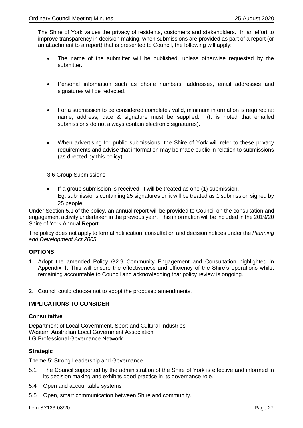The Shire of York values the privacy of residents, customers and stakeholders. In an effort to improve transparency in decision making, when submissions are provided as part of a report (or an attachment to a report) that is presented to Council, the following will apply:

- The name of the submitter will be published, unless otherwise requested by the submitter.
- Personal information such as phone numbers, addresses, email addresses and signatures will be redacted.
- For a submission to be considered complete / valid, minimum information is required ie: name, address, date & signature must be supplied. (It is noted that emailed submissions do not always contain electronic signatures).
- When advertising for public submissions, the Shire of York will refer to these privacy requirements and advise that information may be made public in relation to submissions (as directed by this policy).

3.6 Group Submissions

If a group submission is received, it will be treated as one (1) submission. Eg: submissions containing 25 signatures on it will be treated as 1 submission signed by 25 people.

Under Section 5.1 of the policy, an annual report will be provided to Council on the consultation and engagement activity undertaken in the previous year. This information will be included in the 2019/20 Shire of York Annual Report.

The policy does not apply to formal notification, consultation and decision notices under the *Planning and Development Act 2005*.

#### **OPTIONS**

- 1. Adopt the amended Policy G2.9 Community Engagement and Consultation highlighted in Appendix 1. This will ensure the effectiveness and efficiency of the Shire's operations whilst remaining accountable to Council and acknowledging that policy review is ongoing.
- 2. Council could choose not to adopt the proposed amendments.

#### **IMPLICATIONS TO CONSIDER**

#### **Consultative**

Department of Local Government, Sport and Cultural Industries Western Australian Local Government Association LG Professional Governance Network

#### **Strategic**

Theme 5: Strong Leadership and Governance

- 5.1 The Council supported by the administration of the Shire of York is effective and informed in its decision making and exhibits good practice in its governance role.
- 5.4 Open and accountable systems
- 5.5 Open, smart communication between Shire and community.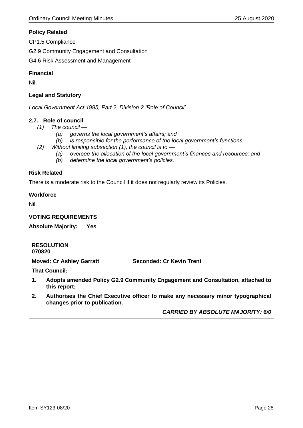#### **Policy Related**

CP1.5 Compliance

G2.9 Community Engagement and Consultation

G4.6 Risk Assessment and Management

#### **Financial**

Nil.

#### **Legal and Statutory**

*Local Government Act 1995, Part 2, Division 2 'Role of Council'*

#### **2.7. Role of council**

- *(1) The council —*
	- *(a) governs the local government's affairs; and*
	- *(b) is responsible for the performance of the local government's functions.*
- *(2) Without limiting subsection (1), the council is to —*
	- *(a) oversee the allocation of the local government's finances and resources; and*
	- *(b) determine the local government's policies.*

#### **Risk Related**

There is a moderate risk to the Council if it does not regularly review its Policies.

#### **Workforce**

Nil.

#### **VOTING REQUIREMENTS**

|  | <b>Absolute Majority:</b> |  | Yes |
|--|---------------------------|--|-----|
|--|---------------------------|--|-----|

| 070820 | <b>RESOLUTION</b>               |                                                                                  |
|--------|---------------------------------|----------------------------------------------------------------------------------|
|        | <b>Moved: Cr Ashley Garratt</b> | Seconded: Cr Kevin Trent                                                         |
|        | <b>That Council:</b>            |                                                                                  |
| 1.     | this report;                    | Adopts amended Policy G2.9 Community Engagement and Consultation, attached to    |
| 2.     | changes prior to publication.   | Authorises the Chief Executive officer to make any necessary minor typographical |
|        |                                 | <b>CARRIED BY ABSOLUTE MAJORITY: 6/0</b>                                         |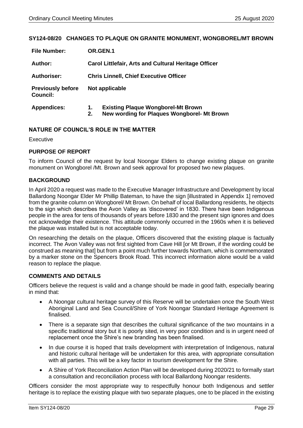#### <span id="page-28-0"></span>**SY124-08/20 CHANGES TO PLAQUE ON GRANITE MONUMENT, WONGBOREL/MT BROWN**

| <b>File Number:</b>                         | OR.GEN.1                                             |                                                                                          |  |
|---------------------------------------------|------------------------------------------------------|------------------------------------------------------------------------------------------|--|
| Author:                                     | Carol Littlefair, Arts and Cultural Heritage Officer |                                                                                          |  |
| <b>Authoriser:</b>                          | <b>Chris Linnell, Chief Executive Officer</b>        |                                                                                          |  |
| <b>Previously before</b><br><b>Council:</b> |                                                      | Not applicable                                                                           |  |
| <b>Appendices:</b>                          | 1.<br>2.                                             | <b>Existing Plaque Wongborel-Mt Brown</b><br>New wording for Plaques Wongborel- Mt Brown |  |

#### **NATURE OF COUNCIL'S ROLE IN THE MATTER**

**Executive** 

#### **PURPOSE OF REPORT**

To inform Council of the request by local Noongar Elders to change existing plaque on granite monument on Wongborel /Mt. Brown and seek approval for proposed two new plaques.

#### **BACKGROUND**

In April 2020 a request was made to the Executive Manager Infrastructure and Development by local Ballardong Noongar Elder Mr Phillip Bateman, to have the sign [illustrated in Appendix 1] removed from the granite column on Wongborel/ Mt Brown. On behalf of local Ballardong residents, he objects to the sign which describes the Avon Valley as 'discovered' in 1830. There have been Indigenous people in the area for tens of thousands of years before 1830 and the present sign ignores and does not acknowledge their existence. This attitude commonly occurred in the 1960s when it is believed the plaque was installed but is not acceptable today.

On researching the details on the plaque, Officers discovered that the existing plaque is factually incorrect. The Avon Valley was not first sighted from Cave Hill [or Mt Brown, if the wording could be construed as meaning that] but from a point much further towards Northam, which is commemorated by a marker stone on the Spencers Brook Road. This incorrect information alone would be a valid reason to replace the plaque.

#### **COMMENTS AND DETAILS**

Officers believe the request is valid and a change should be made in good faith, especially bearing in mind that:

- A Noongar cultural heritage survey of this Reserve will be undertaken once the South West Aboriginal Land and Sea Council/Shire of York Noongar Standard Heritage Agreement is finalised.
- There is a separate sign that describes the cultural significance of the two mountains in a specific traditional story but it is poorly sited, in very poor condition and is in urgent need of replacement once the Shire's new branding has been finalised.
- In due course it is hoped that trails development with interpretation of Indigenous, natural and historic cultural heritage will be undertaken for this area, with appropriate consultation with all parties. This will be a key factor in tourism development for the Shire.
- A Shire of York Reconciliation Action Plan will be developed during 2020/21 to formally start a consultation and reconciliation process with local Ballardong Noongar residents.

Officers consider the most appropriate way to respectfully honour both Indigenous and settler heritage is to replace the existing plaque with two separate plaques, one to be placed in the existing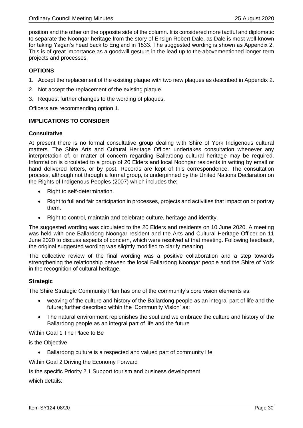position and the other on the opposite side of the column. It is considered more tactful and diplomatic to separate the Noongar heritage from the story of Ensign Robert Dale, as Dale is most well-known for taking Yagan's head back to England in 1833. The suggested wording is shown as Appendix 2. This is of great importance as a goodwill gesture in the lead up to the abovementioned longer-term projects and processes.

#### **OPTIONS**

- 1. Accept the replacement of the existing plaque with two new plaques as described in Appendix 2.
- 2. Not accept the replacement of the existing plaque.
- 3. Request further changes to the wording of plaques.

Officers are recommending option 1.

#### **IMPLICATIONS TO CONSIDER**

#### **Consultative**

At present there is no formal consultative group dealing with Shire of York Indigenous cultural matters. The Shire Arts and Cultural Heritage Officer undertakes consultation whenever any interpretation of, or matter of concern regarding Ballardong cultural heritage may be required. Information is circulated to a group of 20 Elders and local Noongar residents in writing by email or hand delivered letters, or by post. Records are kept of this correspondence. The consultation process, although not through a formal group, is underpinned by the United Nations Declaration on the Rights of Indigenous Peoples (2007) which includes the:

- Right to self-determination.
- Right to full and fair participation in processes, projects and activities that impact on or portray them.
- Right to control, maintain and celebrate culture, heritage and identity.

The suggested wording was circulated to the 20 Elders and residents on 10 June 2020. A meeting was held with one Ballardong Noongar resident and the Arts and Cultural Heritage Officer on 11 June 2020 to discuss aspects of concern, which were resolved at that meeting. Following feedback, the original suggested wording was slightly modified to clarify meaning.

The collective review of the final wording was a positive collaboration and a step towards strengthening the relationship between the local Ballardong Noongar people and the Shire of York in the recognition of cultural heritage.

#### **Strategic**

The Shire Strategic Community Plan has one of the community's core vision elements as:

- weaving of the culture and history of the Ballardong people as an integral part of life and the future; further described within the 'Community Vision' as:
- The natural environment replenishes the soul and we embrace the culture and history of the Ballardong people as an integral part of life and the future

#### Within Goal 1 The Place to Be

is the Objective

• Ballardong culture is a respected and valued part of community life.

Within Goal 2 Driving the Economy Forward

Is the specific Priority 2.1 Support tourism and business development

which details: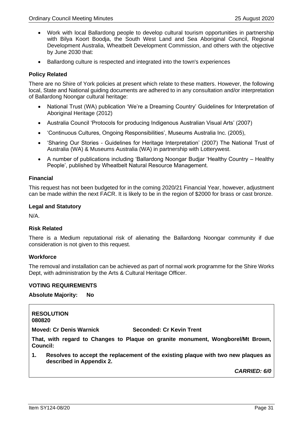- Work with local Ballardong people to develop cultural tourism opportunities in partnership with Bilya Koort Boodja, the South West Land and Sea Aboriginal Council, Regional Development Australia, Wheatbelt Development Commission, and others with the objective by June 2030 that:
- Ballardong culture is respected and integrated into the town's experiences

#### **Policy Related**

There are no Shire of York policies at present which relate to these matters. However, the following local, State and National guiding documents are adhered to in any consultation and/or interpretation of Ballardong Noongar cultural heritage:

- National Trust (WA) publication 'We're a Dreaming Country' Guidelines for Interpretation of Aboriginal Heritage (2012)
- Australia Council 'Protocols for producing Indigenous Australian Visual Arts' (2007)
- 'Continuous Cultures, Ongoing Responsibilities', Museums Australia Inc. (2005),
- 'Sharing Our Stories Guidelines for Heritage Interpretation' (2007) The National Trust of Australia (WA) & Museums Australia (WA) in partnership with Lotterywest.
- A number of publications including 'Ballardong Noongar Budjar 'Healthy Country Healthy People', published by Wheatbelt Natural Resource Management.

#### **Financial**

This request has not been budgeted for in the coming 2020/21 Financial Year, however, adjustment can be made within the next FACR. It is likely to be in the region of \$2000 for brass or cast bronze.

#### **Legal and Statutory**

N/A.

#### **Risk Related**

There is a Medium reputational risk of alienating the Ballardong Noongar community if due consideration is not given to this request.

#### **Workforce**

The removal and installation can be achieved as part of normal work programme for the Shire Works Dept, with administration by the Arts & Cultural Heritage Officer.

#### **VOTING REQUIREMENTS**

#### **Absolute Majority: No**

**RESOLUTION 080820**

**Moved: Cr Denis Warnick Seconded: Cr Kevin Trent**

**That, with regard to Changes to Plaque on granite monument, Wongborel/Mt Brown, Council:**

**1. Resolves to accept the replacement of the existing plaque with two new plaques as described in Appendix 2.**

*CARRIED: 6/0*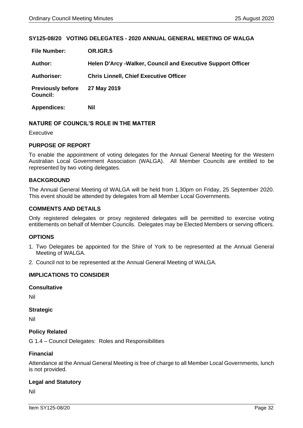#### <span id="page-31-0"></span>**SY125-08/20 VOTING DELEGATES - 2020 ANNUAL GENERAL MEETING OF WALGA**

| <b>File Number:</b>                         | OR.IGR.5                                                     |
|---------------------------------------------|--------------------------------------------------------------|
| <b>Author:</b>                              | Helen D'Arcy - Walker, Council and Executive Support Officer |
| <b>Authoriser:</b>                          | <b>Chris Linnell, Chief Executive Officer</b>                |
| <b>Previously before</b><br><b>Council:</b> | 27 May 2019                                                  |
| <b>Appendices:</b>                          | Nil                                                          |

#### **NATURE OF COUNCIL'S ROLE IN THE MATTER**

**Executive** 

#### **PURPOSE OF REPORT**

To enable the appointment of voting delegates for the Annual General Meeting for the Western Australian Local Government Association (WALGA). All Member Councils are entitled to be represented by two voting delegates.

#### **BACKGROUND**

The Annual General Meeting of WALGA will be held from 1.30pm on Friday, 25 September 2020. This event should be attended by delegates from all Member Local Governments.

#### **COMMENTS AND DETAILS**

Only registered delegates or proxy registered delegates will be permitted to exercise voting entitlements on behalf of Member Councils. Delegates may be Elected Members or serving officers.

#### **OPTIONS**

- 1. Two Delegates be appointed for the Shire of York to be represented at the Annual General Meeting of WALGA.
- 2. Council not to be represented at the Annual General Meeting of WALGA.

#### **IMPLICATIONS TO CONSIDER**

#### **Consultative**

Nil

#### **Strategic**

Nil

#### **Policy Related**

G 1.4 – Council Delegates: Roles and Responsibilities

#### **Financial**

Attendance at the Annual General Meeting is free of charge to all Member Local Governments, lunch is not provided.

#### **Legal and Statutory**

Nil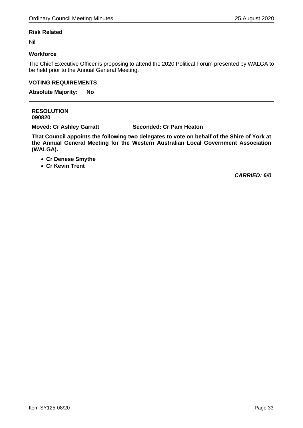#### **Risk Related**

Nil

#### **Workforce**

The Chief Executive Officer is proposing to attend the 2020 Political Forum presented by WALGA to be held prior to the Annual General Meeting.

#### **VOTING REQUIREMENTS**

**Absolute Majority: No**

**RESOLUTION 090820**

**Moved: Cr Ashley Garratt Seconded: Cr Pam Heaton**

**That Council appoints the following two delegates to vote on behalf of the Shire of York at the Annual General Meeting for the Western Australian Local Government Association (WALGA).**

- **Cr Denese Smythe**
- **Cr Kevin Trent**

*CARRIED: 6/0*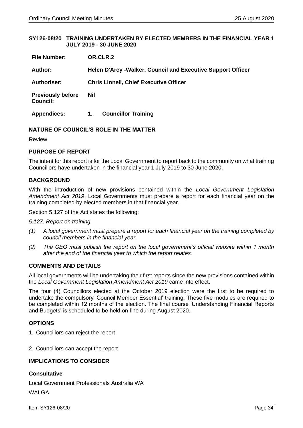#### <span id="page-33-0"></span>**SY126-08/20 TRAINING UNDERTAKEN BY ELECTED MEMBERS IN THE FINANCIAL YEAR 1 JULY 2019 - 30 JUNE 2020**

| <b>File Number:</b>                         | OR.CLR.2                                                           |  |  |
|---------------------------------------------|--------------------------------------------------------------------|--|--|
| Author:                                     | <b>Helen D'Arcy -Walker, Council and Executive Support Officer</b> |  |  |
| <b>Authoriser:</b>                          | <b>Chris Linnell, Chief Executive Officer</b>                      |  |  |
| <b>Previously before</b><br><b>Council:</b> | Nil                                                                |  |  |
| <b>Appendices:</b>                          | <b>Councillor Training</b><br>1.                                   |  |  |

#### **NATURE OF COUNCIL'S ROLE IN THE MATTER**

Review

#### **PURPOSE OF REPORT**

The intent for this report is for the Local Government to report back to the community on what training Councillors have undertaken in the financial year 1 July 2019 to 30 June 2020.

#### **BACKGROUND**

With the introduction of new provisions contained within the *Local Government Legislation Amendment Act 2019*, Local Governments must prepare a report for each financial year on the training completed by elected members in that financial year.

Section 5.127 of the Act states the following:

#### *5.127. Report on training*

- *(1) A local government must prepare a report for each financial year on the training completed by council members in the financial year.*
- *(2) The CEO must publish the report on the local government's official website within 1 month after the end of the financial year to which the report relates.*

#### **COMMENTS AND DETAILS**

All local governments will be undertaking their first reports since the new provisions contained within the *Local Government Legislation Amendment Act 2019* came into effect.

The four (4) Councillors elected at the October 2019 election were the first to be required to undertake the compulsory 'Council Member Essential' training. These five modules are required to be completed within 12 months of the election. The final course 'Understanding Financial Reports and Budgets' is scheduled to be held on-line during August 2020.

#### **OPTIONS**

- 1. Councillors can reject the report
- 2. Councillors can accept the report

#### **IMPLICATIONS TO CONSIDER**

#### **Consultative**

Local Government Professionals Australia WA

#### WALGA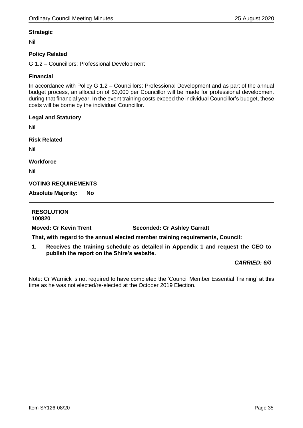#### **Strategic**

Nil

# **Policy Related**

G 1.2 – Councillors: Professional Development

#### **Financial**

In accordance with Policy G 1.2 – Councillors: Professional Development and as part of the annual budget process, an allocation of \$3,000 per Councillor will be made for professional development during that financial year. In the event training costs exceed the individual Councillor's budget, these costs will be borne by the individual Councillor.

#### **Legal and Statutory**

Nil

**Risk Related**

Nil

**Workforce**

Nil

#### **VOTING REQUIREMENTS**

**Absolute Majority: No**

**RESOLUTION 100820 Moved: Cr Kevin Trent Seconded: Cr Ashley Garratt That, with regard to the annual elected member training requirements, Council: 1. Receives the training schedule as detailed in Appendix 1 and request the CEO to publish the report on the Shire's website.** *CARRIED: 6/0*

Note: Cr Warnick is not required to have completed the 'Council Member Essential Training' at this time as he was not elected/re-elected at the October 2019 Election.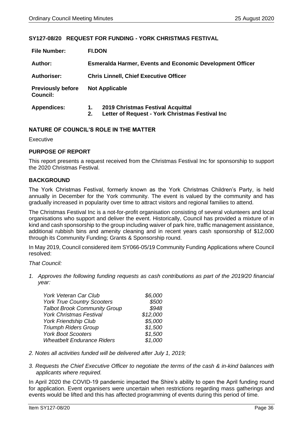#### <span id="page-35-0"></span>**SY127-08/20 REQUEST FOR FUNDING - YORK CHRISTMAS FESTIVAL**

| <b>File Number:</b>                         | <b>FI.DON</b>                                                    |                                                                                      |  |
|---------------------------------------------|------------------------------------------------------------------|--------------------------------------------------------------------------------------|--|
| Author:                                     | <b>Esmeralda Harmer, Events and Economic Development Officer</b> |                                                                                      |  |
| <b>Authoriser:</b>                          | <b>Chris Linnell, Chief Executive Officer</b>                    |                                                                                      |  |
| <b>Previously before</b><br><b>Council:</b> |                                                                  | <b>Not Applicable</b>                                                                |  |
| <b>Appendices:</b>                          | 1.<br>2.                                                         | 2019 Christmas Festival Acquittal<br>Letter of Request - York Christmas Festival Inc |  |

#### **NATURE OF COUNCIL'S ROLE IN THE MATTER**

Executive

#### **PURPOSE OF REPORT**

This report presents a request received from the Christmas Festival Inc for sponsorship to support the 2020 Christmas Festival.

#### **BACKGROUND**

The York Christmas Festival, formerly known as the York Christmas Children's Party, is held annually in December for the York community. The event is valued by the community and has gradually increased in popularity over time to attract visitors and regional families to attend.

The Christmas Festival Inc is a not-for-profit organisation consisting of several volunteers and local organisations who support and deliver the event. Historically, Council has provided a mixture of in kind and cash sponsorship to the group including waiver of park hire, traffic management assistance, additional rubbish bins and amenity cleaning and in recent years cash sponsorship of \$12,000 through its Community Funding; Grants & Sponsorship round.

In May 2019, Council considered item SY066-05/19 Community Funding Applications where Council resolved:

#### *That Council:*

*1. Approves the following funding requests as cash contributions as part of the 2019/20 financial year:* 

| <b>York Veteran Car Club</b>        | \$6,000  |
|-------------------------------------|----------|
| <b>York True Country Scooters</b>   | \$500    |
| <b>Talbot Brook Community Group</b> | \$948    |
| <b>York Christmas Festival</b>      | \$12,000 |
| <b>York Friendship Club</b>         | \$5,000  |
| <b>Triumph Riders Group</b>         | \$1,500  |
| <b>York Boot Scooters</b>           | \$1,500  |
| <b>Wheatbelt Endurance Riders</b>   | \$1,000  |

- *2. Notes all activities funded will be delivered after July 1, 2019;*
- *3. Requests the Chief Executive Officer to negotiate the terms of the cash & in-kind balances with applicants where required.*

In April 2020 the COVID-19 pandemic impacted the Shire's ability to open the April funding round for application. Event organisers were uncertain when restrictions regarding mass gatherings and events would be lifted and this has affected programming of events during this period of time.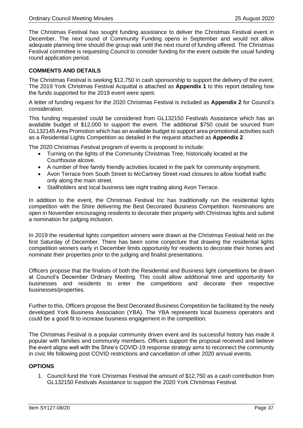The Christmas Festival has sought funding assistance to deliver the Christmas Festival event in December. The next round of Community Funding opens in September and would not allow adequate planning time should the group wait until the next round of funding offered. The Christmas Festival committee is requesting Council to consider funding for the event outside the usual funding round application period.

#### **COMMENTS AND DETAILS**

The Christmas Festival is seeking \$12,750 in cash sponsorship to support the delivery of the event. The 2019 York Christmas Festival Acquittal is attached as **Appendix 1** to this report detailing how the funds supported for the 2019 event were spent.

A letter of funding request for the 2020 Christmas Festival is included as **Appendix 2** for Council's consideration.

This funding requested could be considered from GL132150 Festivals Assistance which has an available budget of \$12,000 to support the event. The additional \$750 could be sourced from GL132145 Area Promotion which has an available budget to support area promotional activities such as a Residential Lights Competition as detailed in the request attached as **Appendix 2**.

The 2020 Christmas Festival program of events is proposed to include:

- Turning on the lights of the Community Christmas Tree, historically located at the Courthouse alcove.
- A number of free family friendly activities located in the park for community enjoyment.
- Avon Terrace from South Street to McCartney Street road closures to allow footfall traffic only along the main street.
- Stallholders and local business late night trading along Avon Terrace.

In addition to the event, the Christmas Festival Inc has traditionally run the residential lights competition with the Shire delivering the Best Decorated Business Competition. Nominations are open in November encouraging residents to decorate their property with Christmas lights and submit a nomination for judging inclusion.

In 2019 the residential lights competition winners were drawn at the Christmas Festival held on the first Saturday of December. There has been some conjecture that drawing the residential lights competition winners early in December limits opportunity for residents to decorate their homes and nominate their properties prior to the judging and finalist presentations.

Officers propose that the finalists of both the Residential and Business light competitions be drawn at Council's December Ordinary Meeting. This could allow additional time and opportunity for businesses and residents to enter the competitions and decorate their respective businesses/properties.

Further to this, Officers propose the Best Decorated Business Competition be facilitated by the newly developed York Business Association (YBA). The YBA represents local business operators and could be a good fit to increase business engagement in the competition.

The Christmas Festival is a popular community driven event and its successful history has made it popular with families and community members. Officers support the proposal received and believe the event aligns well with the Shire's COVID-19 response strategy aims to reconnect the community in civic life following post COVID restrictions and cancellation of other 2020 annual events.

#### **OPTIONS**

1. Council fund the York Christmas Festival the amount of \$12,750 as a cash contribution from GL132150 Festivals Assistance to support the 2020 York Christmas Festival.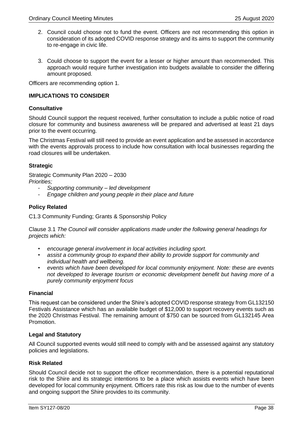- 2. Council could choose not to fund the event. Officers are not recommending this option in consideration of its adopted COVID response strategy and its aims to support the community to re-engage in civic life.
- 3. Could choose to support the event for a lesser or higher amount than recommended. This approach would require further investigation into budgets available to consider the differing amount proposed.

Officers are recommending option 1.

#### **IMPLICATIONS TO CONSIDER**

#### **Consultative**

Should Council support the request received, further consultation to include a public notice of road closure for community and business awareness will be prepared and advertised at least 21 days prior to the event occurring.

The Christmas Festival will still need to provide an event application and be assessed in accordance with the events approvals process to include how consultation with local businesses regarding the road closures will be undertaken.

#### **Strategic**

Strategic Community Plan 2020 – 2030 *Priorities;*

- *Supporting community – led development*
- *Engage children and young people in their place and future*

#### **Policy Related**

C1.3 Community Funding; Grants & Sponsorship Policy

Clause 3.1 *The Council will consider applications made under the following general headings for projects which:*

- *encourage general involvement in local activities including sport.*
- *assist a community group to expand their ability to provide support for community and individual health and wellbeing.*
- *events which have been developed for local community enjoyment. Note: these are events not developed to leverage tourism or economic development benefit but having more of a purely community enjoyment focus*

#### **Financial**

This request can be considered under the Shire's adopted COVID response strategy from GL132150 Festivals Assistance which has an available budget of \$12,000 to support recovery events such as the 2020 Christmas Festival. The remaining amount of \$750 can be sourced from GL132145 Area Promotion.

#### **Legal and Statutory**

All Council supported events would still need to comply with and be assessed against any statutory policies and legislations.

#### **Risk Related**

Should Council decide not to support the officer recommendation, there is a potential reputational risk to the Shire and its strategic intentions to be a place which assists events which have been developed for local community enjoyment. Officers rate this risk as low due to the number of events and ongoing support the Shire provides to its community.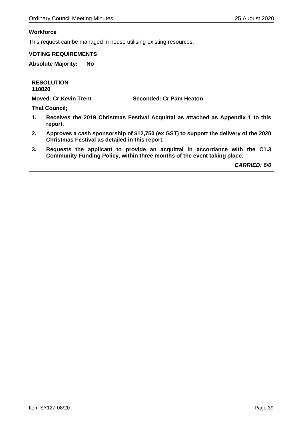٦

# **Workforce**

 $\Gamma$ 

This request can be managed in house utilising existing resources.

# **VOTING REQUIREMENTS**

**Absolute Majority: No**

| <b>RESOLUTION</b><br>110820                                                                                                                                  |  |
|--------------------------------------------------------------------------------------------------------------------------------------------------------------|--|
| <b>Moved: Cr Kevin Trent</b><br>Seconded: Cr Pam Heaton                                                                                                      |  |
| <b>That Council;</b>                                                                                                                                         |  |
| 1.<br>Receives the 2019 Christmas Festival Acquittal as attached as Appendix 1 to this<br>report.                                                            |  |
| 2.<br>Approves a cash sponsorship of \$12,750 (ex GST) to support the delivery of the 2020<br>Christmas Festival as detailed in this report.                 |  |
| 3.<br>Requests the applicant to provide an acquittal in accordance with the C1.3<br>Community Funding Policy, within three months of the event taking place. |  |

*CARRIED: 6/0*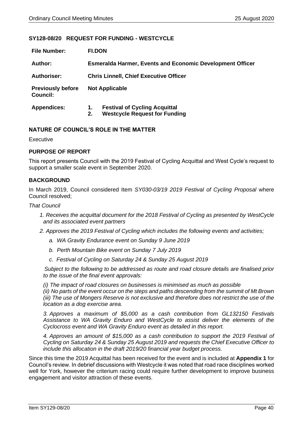#### <span id="page-39-0"></span>**SY128-08/20 REQUEST FOR FUNDING - WESTCYCLE**

| <b>File Number:</b>                         | <b>FI.DON</b>                                                    |                                                                              |  |
|---------------------------------------------|------------------------------------------------------------------|------------------------------------------------------------------------------|--|
| Author:                                     | <b>Esmeralda Harmer, Events and Economic Development Officer</b> |                                                                              |  |
| <b>Authoriser:</b>                          | <b>Chris Linnell, Chief Executive Officer</b>                    |                                                                              |  |
| <b>Previously before</b><br><b>Council:</b> |                                                                  | <b>Not Applicable</b>                                                        |  |
| <b>Appendices:</b>                          | 1.<br>2.                                                         | <b>Festival of Cycling Acquittal</b><br><b>Westcycle Request for Funding</b> |  |

#### **NATURE OF COUNCIL'S ROLE IN THE MATTER**

Executive

#### **PURPOSE OF REPORT**

This report presents Council with the 2019 Festival of Cycling Acquittal and West Cycle's request to support a smaller scale event in September 2020.

#### **BACKGROUND**

In March 2019, Council considered Item *SY030-03/19 2019 Festival of Cycling Proposal* where Council resolved;

#### *That Council*

*1. Receives the acquittal document for the 2018 Festival of Cycling as presented by WestCycle and its associated event partners*

*2. Approves the 2019 Festival of Cycling which includes the following events and activities;*

- *a. WA Gravity Endurance event on Sunday 9 June 2019*
- *b. Perth Mountain Bike event on Sunday 7 July 2019*
- *c. Festival of Cycling on Saturday 24 & Sunday 25 August 2019*

 *Subject to the following to be addressed as route and road closure details are finalised prior to the issue of the final event approvals:*

*(i) The impact of road closures on businesses is minimised as much as possible*

*(ii) No parts of the event occur on the steps and paths descending from the summit of Mt Brown (iii) The use of Mongers Reserve is not exclusive and therefore does not restrict the use of the location as a dog exercise area.*

*3. Approves a maximum of \$5,000 as a cash contribution from GL132150 Festivals Assistance to WA Gravity Enduro and WestCycle to assist deliver the elements of the Cyclocross event and WA Gravity Enduro event as detailed in this report.*

*4. Approves an amount of \$15,000 as a cash contribution to support the 2019 Festival of Cycling on Saturday 24 & Sunday 25 August 2019 and requests the Chief Executive Officer to include this allocation in the draft 2019/20 financial year budget process.*

Since this time the 2019 Acquittal has been received for the event and is included at **Appendix 1** for Council's review. In debrief discussions with Westcycle it was noted that road race disciplines worked well for York, however the criterium racing could require further development to improve business engagement and visitor attraction of these events.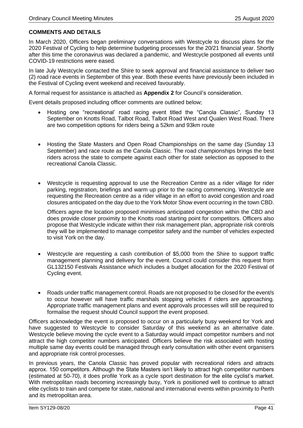# **COMMENTS AND DETAILS**

In March 2020, Officers began preliminary conversations with Westcycle to discuss plans for the 2020 Festival of Cycling to help determine budgeting processes for the 20/21 financial year. Shortly after this time the coronavirus was declared a pandemic, and Westcycle postponed all events until COVID-19 restrictions were eased.

In late July Westcycle contacted the Shire to seek approval and financial assistance to deliver two (2) road race events in September of this year. Both these events have previously been included in the Festival of Cycling event weekend and received favourably.

A formal request for assistance is attached as **Appendix 2** for Council's consideration.

Event details proposed including officer comments are outlined below;

- Hosting one "recreational' road racing event titled the "Canola Classic", Sunday 13 September on Knotts Road, Talbot Road, Talbot Road West and Qualen West Road. There are two competition options for riders being a 52km and 93km route
- Hosting the State Masters and Open Road Championships on the same day (Sunday 13 September) and race route as the Canola Classic. The road championships brings the best riders across the state to compete against each other for state selection as opposed to the recreational Canola Classic.
- Westcycle is requesting approval to use the Recreation Centre as a rider village for rider parking, registration, briefings and warm up prior to the racing commencing. Westcycle are requesting the Recreation centre as a rider village in an effort to avoid congestion and road closures anticipated on the day due to the York Motor Show event occurring in the town CBD.

Officers agree the location proposed minimises anticipated congestion within the CBD and does provide closer proximity to the Knotts road starting point for competitors. Officers also propose that Westcycle indicate within their risk management plan, appropriate risk controls they will be implemented to manage competitor safety and the number of vehicles expected to visit York on the day.

- Westcycle are requesting a cash contribution of \$5,000 from the Shire to support traffic management planning and delivery for the event. Council could consider this request from GL132150 Festivals Assistance which includes a budget allocation for the 2020 Festival of Cycling event.
- Roads under traffic management control. Roads are not proposed to be closed for the event/s to occur however will have traffic marshals stopping vehicles if riders are approaching. Appropriate traffic management plans and event approvals processes will still be required to formalise the request should Council support the event proposed.

Officers acknowledge the event is proposed to occur on a particularly busy weekend for York and have suggested to Westcycle to consider Saturday of this weekend as an alternative date. Westcycle believe moving the cycle event to a Saturday would impact competitor numbers and not attract the high competitor numbers anticipated. Officers believe the risk associated with hosting multiple same day events could be managed through early consultation with other event organisers and appropriate risk control processes.

In previous years, the Canola Classic has proved popular with recreational riders and attracts approx. 150 competitors. Although the State Masters isn't likely to attract high competitor numbers (estimated at 50-70), it does profile York as a cycle sport destination for the elite cyclist's market. With metropolitan roads becoming increasingly busy, York is positioned well to continue to attract elite cyclists to train and compete for state, national and international events within proximity to Perth and its metropolitan area.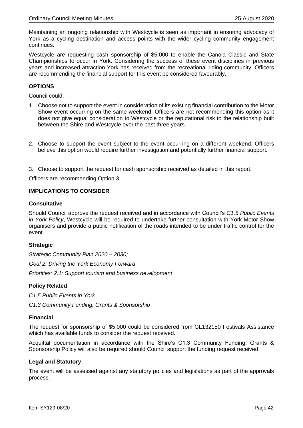Maintaining an ongoing relationship with Westcycle is seen as important in ensuring advocacy of York as a cycling destination and access points with the wider cycling community engagement continues.

Westcycle are requesting cash sponsorship of \$5,000 to enable the Canola Classic and State Championships to occur in York. Considering the success of these event disciplines in previous years and increased attraction York has received from the recreational riding community, Officers are recommending the financial support for this event be considered favourably.

#### **OPTIONS**

Council could;

- 1. Choose not to support the event in consideration of its existing financial contribution to the Motor Show event occurring on the same weekend. Officers are not recommending this option as it does not give equal consideration to Westcycle or the reputational risk to the relationship built between the Shire and Westcycle over the past three years.
- 2. Choose to support the event subject to the event occurring on a different weekend. Officers believe this option would require further investigation and potentially further financial support.
- 3. Choose to support the request for cash sponsorship received as detailed in this report.

Officers are recommending Option 3

#### **IMPLICATIONS TO CONSIDER**

#### **Consultative**

Should Council approve the request received and in accordance with Council's *C1.5 Public Events in York Policy*, Westcycle will be required to undertake further consultation with York Motor Show organisers and provide a public notification of the roads intended to be under traffic control for the event.

#### **Strategic**

*Strategic Community Plan 2020 – 2030; Goal 2: Driving the York Economy Forward Priorities: 2.1; Support tourism and business development* 

#### **Policy Related**

*C1.5 Public Events in York*

*C1.3 Community Funding; Grants & Sponsorship* 

#### **Financial**

The request for sponsorship of \$5,000 could be considered from GL132150 Festivals Assistance which has available funds to consider the request received.

Acquittal documentation in accordance with the Shire's C1.3 Community Funding; Grants & Sponsorship Policy will also be required should Council support the funding request received.

#### **Legal and Statutory**

The event will be assessed against any statutory policies and legislations as part of the approvals process.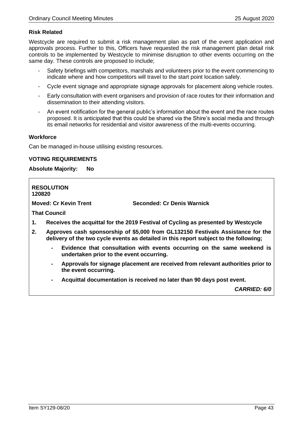#### **Risk Related**

Westcycle are required to submit a risk management plan as part of the event application and approvals process. Further to this, Officers have requested the risk management plan detail risk controls to be implemented by Westcycle to minimise disruption to other events occurring on the same day. These controls are proposed to include;

- Safety briefings with competitors, marshals and volunteers prior to the event commencing to indicate where and how competitors will travel to the start point location safely.
- Cycle event signage and appropriate signage approvals for placement along vehicle routes.
- Early consultation with event organisers and provision of race routes for their information and dissemination to their attending visitors.
- An event notification for the general public's information about the event and the race routes proposed. It is anticipated that this could be shared via the Shire's social media and through its email networks for residential and visitor awareness of the multi-events occurring.

#### **Workforce**

Can be managed in-house utilising existing resources.

#### **VOTING REQUIREMENTS**

#### **Absolute Majority: No**

| <b>RESOLUTION</b><br>120820 |                                                                                                                                                                          |    |                                          |                                                                                   |
|-----------------------------|--------------------------------------------------------------------------------------------------------------------------------------------------------------------------|----|------------------------------------------|-----------------------------------------------------------------------------------|
|                             |                                                                                                                                                                          |    | <b>Moved: Cr Kevin Trent</b>             | Seconded: Cr Denis Warnick                                                        |
| <b>That Council</b>         |                                                                                                                                                                          |    |                                          |                                                                                   |
| 1.                          |                                                                                                                                                                          |    |                                          | Receives the acquittal for the 2019 Festival of Cycling as presented by Westcycle |
| 2.                          | Approves cash sponsorship of \$5,000 from GL132150 Festivals Assistance for the<br>delivery of the two cycle events as detailed in this report subject to the following; |    |                                          |                                                                                   |
|                             | $\blacksquare$                                                                                                                                                           |    | undertaken prior to the event occurring. | Evidence that consultation with events occurring on the same weekend is           |
|                             |                                                                                                                                                                          | н. | the event occurring.                     | Approvals for signage placement are received from relevant authorities prior to   |

**- Acquittal documentation is received no later than 90 days post event.**

*CARRIED: 6/0*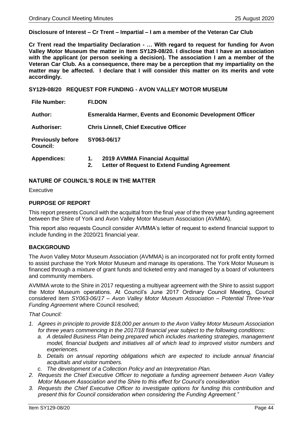#### **Disclosure of Interest – Cr Trent – Impartial – I am a member of the Veteran Car Club**

**Cr Trent read the Impartiality Declaration - … With regard to request for funding for Avon Valley Motor Museum the matter in Item SY129-08/20. I disclose that I have an association with the applicant (or person seeking a decision). The association I am a member of the Veteran Car Club. As a consequence, there may be a perception that my impartiality on the matter may be affected. I declare that I will consider this matter on its merits and vote accordingly.**

<span id="page-43-0"></span>**SY129-08/20 REQUEST FOR FUNDING - AVON VALLEY MOTOR MUSEUM** 

| <b>File Number:</b>                         | <b>FI.DON</b>                                                                               |  |  |
|---------------------------------------------|---------------------------------------------------------------------------------------------|--|--|
| Author:                                     | <b>Esmeralda Harmer, Events and Economic Development Officer</b>                            |  |  |
| <b>Authoriser:</b>                          | <b>Chris Linnell, Chief Executive Officer</b>                                               |  |  |
| <b>Previously before</b><br><b>Council:</b> | SY063-06/17                                                                                 |  |  |
| <b>Appendices:</b>                          | 2019 AVMMA Financial Acquittal<br>1.<br>Letter of Request to Extend Funding Agreement<br>2. |  |  |

#### **NATURE OF COUNCIL'S ROLE IN THE MATTER**

Executive

#### **PURPOSE OF REPORT**

This report presents Council with the acquittal from the final year of the three year funding agreement between the Shire of York and Avon Valley Motor Museum Association (AVMMA).

This report also requests Council consider AVMMA's letter of request to extend financial support to include funding in the 2020/21 financial year.

#### **BACKGROUND**

The Avon Valley Motor Museum Association (AVMMA) is an incorporated not for profit entity formed to assist purchase the York Motor Museum and manage its operations. The York Motor Museum is financed through a mixture of grant funds and ticketed entry and managed by a board of volunteers and community members.

AVMMA wrote to the Shire in 2017 requesting a multiyear agreement with the Shire to assist support the Motor Museum operations. At Council's June 2017 Ordinary Council Meeting, Council considered item *SY063-06/17 – Avon Valley Motor Museum Association – Potential Three-Year Funding Agreement* where Council resolved;

#### *That Council:*

- *1. Agrees in principle to provide \$18,000 per annum to the Avon Valley Motor Museum Association for three years commencing in the 2017/18 financial year subject to the following conditions:*
	- *a. A detailed Business Plan being prepared which includes marketing strategies, management model, financial budgets and initiatives all of which lead to improved visitor numbers and experiences.*
	- *b. Details on annual reporting obligations which are expected to include annual financial acquittals and visitor numbers.*
	- *c. The development of a Collection Policy and an Interpretation Plan.*
- *2. Requests the Chief Executive Officer to negotiate a funding agreement between Avon Valley Motor Museum Association and the Shire to this effect for Council's consideration*
- *3. Requests the Chief Executive Officer to investigate options for funding this contribution and present this for Council consideration when considering the Funding Agreement."*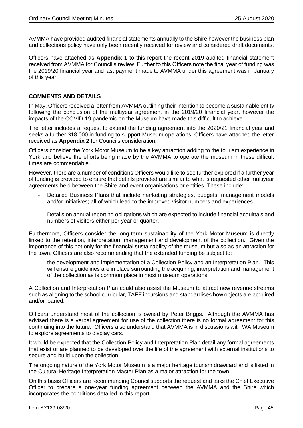AVMMA have provided audited financial statements annually to the Shire however the business plan and collections policy have only been recently received for review and considered draft documents.

Officers have attached as **Appendix 1** to this report the recent 2019 audited financial statement received from AVMMA for Council's review. Further to this Officers note the final year of funding was the 2019/20 financial year and last payment made to AVMMA under this agreement was in January of this year.

#### **COMMENTS AND DETAILS**

In May, Officers received a letter from AVMMA outlining their intention to become a sustainable entity following the conclusion of the multiyear agreement in the 2019/20 financial year, however the impacts of the COVID-19 pandemic on the Museum have made this difficult to achieve.

The letter includes a request to extend the funding agreement into the 2020/21 financial year and seeks a further \$18,000 in funding to support Museum operations. Officers have attached the letter received as **Appendix 2** for Councils consideration.

Officers consider the York Motor Museum to be a key attraction adding to the tourism experience in York and believe the efforts being made by the AVMMA to operate the museum in these difficult times are commendable.

However, there are a number of conditions Officers would like to see further explored if a further year of funding is provided to ensure that details provided are similar to what is requested other multiyear agreements held between the Shire and event organisations or entities. These include:

- Detailed Business Plans that include marketing strategies, budgets, management models and/or initiatives; all of which lead to the improved visitor numbers and experiences.
- Details on annual reporting obligations which are expected to include financial acquittals and numbers of visitors either per year or quarter.

Furthermore, Officers consider the long-term sustainability of the York Motor Museum is directly linked to the retention, interpretation, management and development of the collection. Given the importance of this not only for the financial sustainability of the museum but also as an attraction for the town, Officers are also recommending that the extended funding be subject to:

the development and implementation of a Collection Policy and an Interpretation Plan. This will ensure guidelines are in place surrounding the acquiring, interpretation and management of the collection as is common place in most museum operations.

A Collection and Interpretation Plan could also assist the Museum to attract new revenue streams such as aligning to the school curricular, TAFE incursions and standardises how objects are acquired and/or loaned.

Officers understand most of the collection is owned by Peter Briggs. Although the AVMMA has advised there is a verbal agreement for use of the collection there is no formal agreement for this continuing into the future. Officers also understand that AVMMA is in discussions with WA Museum to explore agreements to display cars.

It would be expected that the Collection Policy and Interpretation Plan detail any formal agreements that exist or are planned to be developed over the life of the agreement with external institutions to secure and build upon the collection.

The ongoing nature of the York Motor Museum is a major heritage tourism drawcard and is listed in the Cultural Heritage Interpretation Master Plan as a major attraction for the town.

On this basis Officers are recommending Council supports the request and asks the Chief Executive Officer to prepare a one-year funding agreement between the AVMMA and the Shire which incorporates the conditions detailed in this report.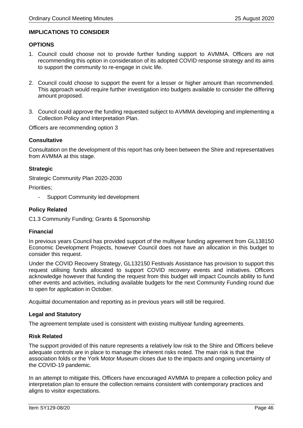#### **IMPLICATIONS TO CONSIDER**

#### **OPTIONS**

- 1. Council could choose not to provide further funding support to AVMMA. Officers are not recommending this option in consideration of its adopted COVID response strategy and its aims to support the community to re-engage in civic life.
- 2. Council could choose to support the event for a lesser or higher amount than recommended. This approach would require further investigation into budgets available to consider the differing amount proposed.
- 3. Council could approve the funding requested subject to AVMMA developing and implementing a Collection Policy and Interpretation Plan.

Officers are recommending option 3

#### **Consultative**

Consultation on the development of this report has only been between the Shire and representatives from AVMMA at this stage.

#### **Strategic**

Strategic Community Plan 2020-2030

Priorities;

- Support Community led development

#### **Policy Related**

C1.3 Community Funding; Grants & Sponsorship

#### **Financial**

In previous years Council has provided support of the multiyear funding agreement from GL138150 Economic Development Projects, however Council does not have an allocation in this budget to consider this request.

Under the COVID Recovery Strategy, GL132150 Festivals Assistance has provision to support this request utilising funds allocated to support COVID recovery events and initiatives. Officers acknowledge however that funding the request from this budget will impact Councils ability to fund other events and activities, including available budgets for the next Community Funding round due to open for application in October.

Acquittal documentation and reporting as in previous years will still be required.

#### **Legal and Statutory**

The agreement template used is consistent with existing multiyear funding agreements.

#### **Risk Related**

The support provided of this nature represents a relatively low risk to the Shire and Officers believe adequate controls are in place to manage the inherent risks noted. The main risk is that the association folds or the York Motor Museum closes due to the impacts and ongoing uncertainty of the COVID-19 pandemic.

In an attempt to mitigate this, Officers have encouraged AVMMA to prepare a collection policy and interpretation plan to ensure the collection remains consistent with contemporary practices and aligns to visitor expectations.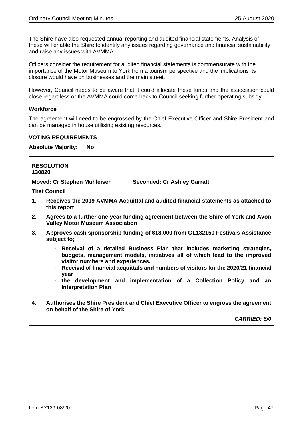The Shire have also requested annual reporting and audited financial statements. Analysis of these will enable the Shire to identify any issues regarding governance and financial sustainability and raise any issues with AVMMA.

Officers consider the requirement for audited financial statements is commensurate with the importance of the Motor Museum to York from a tourism perspective and the implications its closure would have on businesses and the main street.

However, Council needs to be aware that it could allocate these funds and the association could close regardless or the AVMMA could come back to Council seeking further operating subsidy.

# **Workforce**

Г

The agreement will need to be engrossed by the Chief Executive Officer and Shire President and can be managed in house utilising existing resources.

#### **VOTING REQUIREMENTS**

#### **Absolute Majority: No**

| 130820 | <b>RESOLUTION</b>                                                                                                                                                                                                                                                                                                                                                    |
|--------|----------------------------------------------------------------------------------------------------------------------------------------------------------------------------------------------------------------------------------------------------------------------------------------------------------------------------------------------------------------------|
|        | Moved: Cr Stephen Muhleisen<br><b>Seconded: Cr Ashley Garratt</b>                                                                                                                                                                                                                                                                                                    |
|        | <b>That Council</b>                                                                                                                                                                                                                                                                                                                                                  |
| 1.     | Receives the 2019 AVMMA Acquittal and audited financial statements as attached to<br>this report                                                                                                                                                                                                                                                                     |
| 2.     | Agrees to a further one-year funding agreement between the Shire of York and Avon<br><b>Valley Motor Museum Association</b>                                                                                                                                                                                                                                          |
| 3.     | Approves cash sponsorship funding of \$18,000 from GL132150 Festivals Assistance<br>subject to;                                                                                                                                                                                                                                                                      |
|        | - Receival of a detailed Business Plan that includes marketing strategies,<br>budgets, management models, initiatives all of which lead to the improved<br>visitor numbers and experiences.<br>- Receival of financial acquittals and numbers of visitors for the 2020/21 financial<br>year<br>- the development and implementation of a Collection Policy and<br>an |
|        | <b>Interpretation Plan</b>                                                                                                                                                                                                                                                                                                                                           |
| 4.     | Authorises the Shire President and Chief Executive Officer to engross the agreement<br>on behalf of the Shire of York                                                                                                                                                                                                                                                |
|        | <b>CARRIED: 6/0</b>                                                                                                                                                                                                                                                                                                                                                  |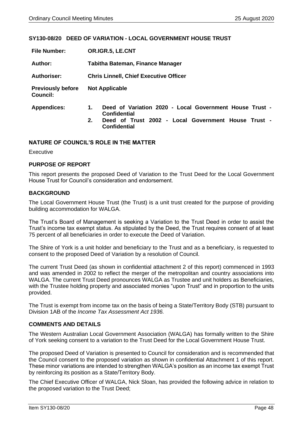#### <span id="page-47-0"></span>**SY130-08/20 DEED OF VARIATION - LOCAL GOVERNMENT HOUSE TRUST**

| <b>File Number:</b>                         | OR.IGR.5, LE.CNT                                                                     |  |  |
|---------------------------------------------|--------------------------------------------------------------------------------------|--|--|
| Author:                                     | <b>Tabitha Bateman, Finance Manager</b>                                              |  |  |
| <b>Authoriser:</b>                          | <b>Chris Linnell, Chief Executive Officer</b>                                        |  |  |
| <b>Previously before</b><br><b>Council:</b> | <b>Not Applicable</b>                                                                |  |  |
| <b>Appendices:</b>                          | Deed of Variation 2020 - Local Government House Trust -<br>1.<br><b>Confidential</b> |  |  |
|                                             | Deed of Trust 2002 - Local Government House Trust -<br>2.<br><b>Confidential</b>     |  |  |

#### **NATURE OF COUNCIL'S ROLE IN THE MATTER**

**Executive** 

#### **PURPOSE OF REPORT**

This report presents the proposed Deed of Variation to the Trust Deed for the Local Government House Trust for Council's consideration and endorsement.

#### **BACKGROUND**

The Local Government House Trust (the Trust) is a unit trust created for the purpose of providing building accommodation for WALGA.

The Trust's Board of Management is seeking a Variation to the Trust Deed in order to assist the Trust's income tax exempt status. As stipulated by the Deed, the Trust requires consent of at least 75 percent of all beneficiaries in order to execute the Deed of Variation.

The Shire of York is a unit holder and beneficiary to the Trust and as a beneficiary, is requested to consent to the proposed Deed of Variation by a resolution of Council.

The current Trust Deed (as shown in confidential attachment 2 of this report) commenced in 1993 and was amended in 2002 to reflect the merger of the metropolitan and country associations into WALGA. The current Trust Deed pronounces WALGA as Trustee and unit holders as Beneficiaries, with the Trustee holding property and associated monies "upon Trust" and in proportion to the units provided.

The Trust is exempt from income tax on the basis of being a State/Territory Body (STB) pursuant to Division 1AB of the *Income Tax Assessment Act 1936.*

#### **COMMENTS AND DETAILS**

The Western Australian Local Government Association (WALGA) has formally written to the Shire of York seeking consent to a variation to the Trust Deed for the Local Government House Trust.

The proposed Deed of Variation is presented to Council for consideration and is recommended that the Council consent to the proposed variation as shown in confidential Attachment 1 of this report. These minor variations are intended to strengthen WALGA's position as an income tax exempt Trust by reinforcing its position as a State/Territory Body.

The Chief Executive Officer of WALGA, Nick Sloan, has provided the following advice in relation to the proposed variation to the Trust Deed;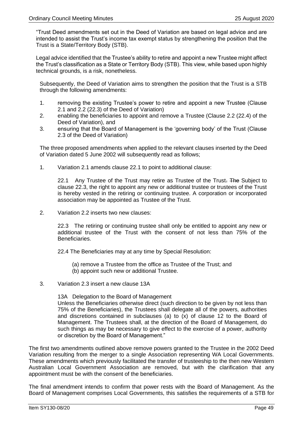"Trust Deed amendments set out in the Deed of Variation are based on legal advice and are intended to assist the Trust's income tax exempt status by strengthening the position that the Trust is a State/Territory Body (STB).

Legal advice identified that the Trustee's ability to retire and appoint a new Trustee might affect the Trust's classification as a State or Territory Body (STB). This view, while based upon highly technical grounds, is a risk, nonetheless.

Subsequently, the Deed of Variation aims to strengthen the position that the Trust is a STB through the following amendments:

- 1. removing the existing Trustee's power to retire and appoint a new Trustee (Clause 2.1 and 2.2 (22.3) of the Deed of Variation)
- 2. enabling the beneficiaries to appoint and remove a Trustee (Clause 2.2 (22.4) of the Deed of Variation), and
- 3. ensuring that the Board of Management is the 'governing body' of the Trust (Clause 2.3 of the Deed of Variation)

The three proposed amendments when applied to the relevant clauses inserted by the Deed of Variation dated 5 June 2002 will subsequently read as follows;

1. Variation 2.1 amends clause 22.1 to point to additional clause:

22.1 Any Trustee of the Trust may retire as Trustee of the Trust-The Subject to clause 22.3, the right to appoint any new or additional trustee or trustees of the Trust is hereby vested in the retiring or continuing trustee. A corporation or incorporated association may be appointed as Trustee of the Trust.

2. Variation 2.2 inserts two new clauses:

22.3 The retiring or continuing trustee shall only be entitled to appoint any new or additional trustee of the Trust with the consent of not less than 75% of the Beneficiaries.

22.4 The Beneficiaries may at any time by Special Resolution:

- (a) remove a Trustee from the office as Trustee of the Trust; and
- (b) appoint such new or additional Trustee.
- 3. Variation 2.3 insert a new clause 13A

13A Delegation to the Board of Management Unless the Beneficiaries otherwise direct (such direction to be given by not less than 75% of the Beneficiaries), the Trustees shall delegate all of the powers, authorities and discretions contained in subclauses (a) to  $\overline{X}$ ) of clause 12 to the Board of Management. The Trustees shall, at the direction of the Board of Management, do such things as may be necessary to give effect to the exercise of a power, authority or discretion by the Board of Management."

The first two amendments outlined above remove powers granted to the Trustee in the 2002 Deed Variation resulting from the merger to a single Association representing WA Local Governments. These amendments which previously facilitated the transfer of trusteeship to the then new Western Australian Local Government Association are removed, but with the clarification that any appointment must be with the consent of the beneficiaries.

The final amendment intends to confirm that power rests with the Board of Management. As the Board of Management comprises Local Governments, this satisfies the requirements of a STB for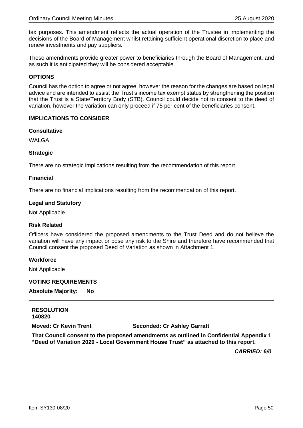tax purposes. This amendment reflects the actual operation of the Trustee in implementing the decisions of the Board of Management whilst retaining sufficient operational discretion to place and renew investments and pay suppliers.

These amendments provide greater power to beneficiaries through the Board of Management, and as such it is anticipated they will be considered acceptable.

#### **OPTIONS**

Council has the option to agree or not agree, however the reason for the changes are based on legal advice and are intended to assist the Trust's income tax exempt status by strengthening the position that the Trust is a State/Territory Body (STB). Council could decide not to consent to the deed of variation, however the variation can only proceed if 75 per cent of the beneficiaries consent.

#### **IMPLICATIONS TO CONSIDER**

#### **Consultative**

WAI GA

#### **Strategic**

There are no strategic implications resulting from the recommendation of this report

#### **Financial**

There are no financial implications resulting from the recommendation of this report.

#### **Legal and Statutory**

Not Applicable

#### **Risk Related**

Officers have considered the proposed amendments to the Trust Deed and do not believe the variation will have any impact or pose any risk to the Shire and therefore have recommended that Council consent the proposed Deed of Variation as shown in Attachment 1.

#### **Workforce**

Not Applicable

#### **VOTING REQUIREMENTS**

**Absolute Majority: No**

**RESOLUTION 140820**

**Moved: Cr Kevin Trent Seconded: Cr Ashley Garratt**

**That Council consent to the proposed amendments as outlined in Confidential Appendix 1 "Deed of Variation 2020 - Local Government House Trust" as attached to this report.**

*CARRIED: 6/0*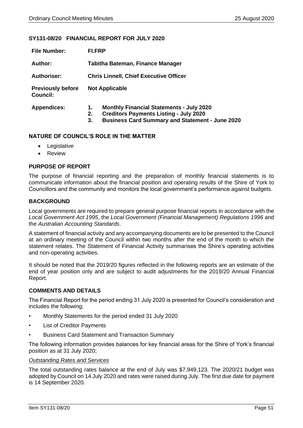#### <span id="page-50-0"></span>**SY131-08/20 FINANCIAL REPORT FOR JULY 2020**

| <b>File Number:</b>                         | FI.FRP                                                                                                                                                                       |  |  |
|---------------------------------------------|------------------------------------------------------------------------------------------------------------------------------------------------------------------------------|--|--|
| Author:                                     | Tabitha Bateman, Finance Manager                                                                                                                                             |  |  |
| <b>Authoriser:</b>                          | <b>Chris Linnell, Chief Executive Officer</b>                                                                                                                                |  |  |
| <b>Previously before</b><br><b>Council:</b> | <b>Not Applicable</b>                                                                                                                                                        |  |  |
| <b>Appendices:</b>                          | <b>Monthly Financial Statements - July 2020</b><br>1.<br><b>Creditors Payments Listing - July 2020</b><br>2.<br><b>Business Card Summary and Statement - June 2020</b><br>3. |  |  |

#### **NATURE OF COUNCIL'S ROLE IN THE MATTER**

- Legislative
- Review

#### **PURPOSE OF REPORT**

The purpose of financial reporting and the preparation of monthly financial statements is to communicate information about the financial position and operating results of the Shire of York to Councillors and the community and monitors the local government's performance against budgets.

#### **BACKGROUND**

Local governments are required to prepare general purpose financial reports in accordance with the *Local Government Act 1995*, the *Local Government (Financial Management) Regulations 1996* and the *Australian Accounting Standards*.

A statement of financial activity and any accompanying documents are to be presented to the Council at an ordinary meeting of the Council within two months after the end of the month to which the statement relates. The Statement of Financial Activity summarises the Shire's operating activities and non-operating activities.

It should be noted that the 2019/20 figures reflected in the following reports are an estimate of the end of year position only and are subject to audit adjustments for the 2019/20 Annual Financial Report.

#### **COMMENTS AND DETAILS**

The Financial Report for the period ending 31 July 2020 is presented for Council's consideration and includes the following;

- Monthly Statements for the period ended 31 July 2020
- **List of Creditor Payments**
- Business Card Statement and Transaction Summary

The following information provides balances for key financial areas for the Shire of York's financial position as at 31 July 2020;

#### *Outstanding Rates and Services*

The total outstanding rates balance at the end of July was \$7,949,123. The 2020/21 budget was adopted by Council on 14 July 2020 and rates were raised during July. The first due date for payment is 14 September 2020.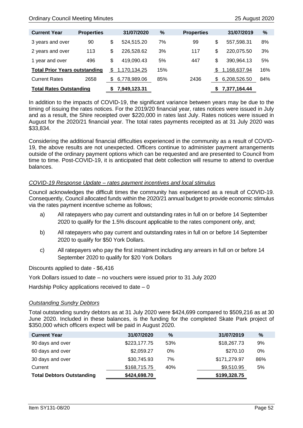| <b>Current Year</b>                  | <b>Properties</b> |      | 31/07/2020   | %   | <b>Properties</b> |      | 31/07/2019   | %   |
|--------------------------------------|-------------------|------|--------------|-----|-------------------|------|--------------|-----|
| 3 years and over                     | 90                | \$   | 524.515.20   | 7%  | 99                | \$   | 557,598.31   | 8%  |
| 2 years and over                     | 113               | \$   | 226.528.62   | 3%  | 117               | \$   | 220.075.50   | 3%  |
| 1 year and over                      | 496               | \$   | 419.090.43   | 5%  | 447               | \$   | 390.964.13   | 5%  |
| <b>Total Prior Years outstanding</b> |                   | S    | 1,170,134.25 | 15% |                   | \$.  | 1,168,637.94 | 16% |
| <b>Current Rates</b>                 | 2658              | - \$ | 6,778,989.06 | 85% | 2436              | - \$ | 6,208,526.50 | 84% |
| <b>Total Rates Outstanding</b>       |                   |      | 7,949,123.31 |     |                   | S    | 7,377,164.44 |     |

In addition to the impacts of COVID-19, the significant variance between years may be due to the timing of issuing the rates notices. For the 2019/20 financial year, rates notices were issued in July and as a result, the Shire receipted over \$220,000 in rates last July. Rates notices were issued in August for the 2020/21 financial year. The total rates payments receipted as at 31 July 2020 was \$33,834.

Considering the additional financial difficulties experienced in the community as a result of COVID-19, the above results are not unexpected. Officers continue to administer payment arrangements outside of the ordinary payment options which can be requested and are presented to Council from time to time. Post-COVID-19, it is anticipated that debt collection will resume to attend to overdue balances.

#### *COVID-19 Response Update – rates payment incentives and local stimulus*

Council acknowledges the difficult times the community has experienced as a result of COVID-19. Consequently, Council allocated funds within the 2020/21 annual budget to provide economic stimulus via the rates payment incentive scheme as follows;

- a) All ratepayers who pay current and outstanding rates in full on or before 14 September 2020 to qualify for the 1.5% discount applicable to the rates component only, and;
- b) All ratepayers who pay current and outstanding rates in full on or before 14 September 2020 to qualify for \$50 York Dollars.
- c) All ratepayers who pay the first instalment including any arrears in full on or before 14 September 2020 to qualify for \$20 York Dollars

Discounts applied to date - \$6,416

York Dollars issued to date – no vouchers were issued prior to 31 July 2020

Hardship Policy applications received to date  $-0$ 

#### *Outstanding Sundry Debtors*

Total outstanding sundry debtors as at 31 July 2020 were \$424,699 compared to \$509,216 as at 30 June 2020. Included in these balances, is the funding for the completed Skate Park project of \$350,000 which officers expect will be paid in August 2020.

| <b>Current Year</b>              | 31/07/2020   | $\%$  | 31/07/2019   | $\%$ |
|----------------------------------|--------------|-------|--------------|------|
| 90 days and over                 | \$223,177.75 | 53%   | \$18,267.73  | 9%   |
| 60 days and over                 | \$2,059.27   | $0\%$ | \$270.10     | 0%   |
| 30 days and over                 | \$30,745.93  | 7%    | \$171,279.97 | 86%  |
| Current                          | \$168,715.75 | 40%   | \$9,510.95   | 5%   |
| <b>Total Debtors Outstanding</b> | \$424,698.70 |       | \$199,328.75 |      |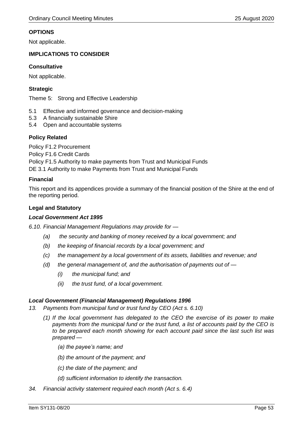#### **OPTIONS**

Not applicable.

#### **IMPLICATIONS TO CONSIDER**

#### **Consultative**

Not applicable.

#### **Strategic**

Theme 5: Strong and Effective Leadership

- 5.1 Effective and informed governance and decision-making
- 5.3 A financially sustainable Shire
- 5.4 Open and accountable systems

#### **Policy Related**

Policy F1.2 Procurement

Policy F1.6 Credit Cards

Policy F1.5 Authority to make payments from Trust and Municipal Funds

DE 3.1 Authority to make Payments from Trust and Municipal Funds

#### **Financial**

This report and its appendices provide a summary of the financial position of the Shire at the end of the reporting period.

#### **Legal and Statutory**

#### *Local Government Act 1995*

*6.10. Financial Management Regulations may provide for —*

- *(a) the security and banking of money received by a local government; and*
- *(b) the keeping of financial records by a local government; and*
- *(c) the management by a local government of its assets, liabilities and revenue; and*
- *(d) the general management of, and the authorisation of payments out of —*
	- *(i) the municipal fund; and*
	- *(ii) the trust fund, of a local government.*

#### *Local Government (Financial Management) Regulations 1996*

- *13. Payments from municipal fund or trust fund by CEO (Act s. 6.10)*
	- *(1) If the local government has delegated to the CEO the exercise of its power to make payments from the municipal fund or the trust fund, a list of accounts paid by the CEO is to be prepared each month showing for each account paid since the last such list was prepared —*
		- *(a) the payee's name; and*
		- *(b) the amount of the payment; and*
		- *(c) the date of the payment; and*
		- *(d) sufficient information to identify the transaction.*
- *34. Financial activity statement required each month (Act s. 6.4)*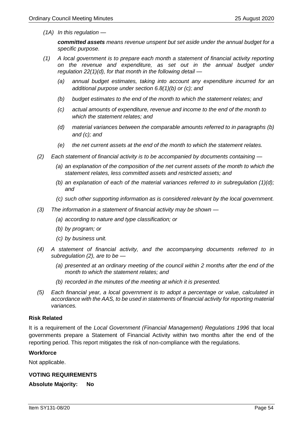*(1A) In this regulation —*

*committed assets means revenue unspent but set aside under the annual budget for a specific purpose.*

- *(1) A local government is to prepare each month a statement of financial activity reporting on the revenue and expenditure, as set out in the annual budget under regulation 22(1)(d), for that month in the following detail —*
	- *(a) annual budget estimates, taking into account any expenditure incurred for an additional purpose under section 6.8(1)(b) or (c); and*
	- *(b) budget estimates to the end of the month to which the statement relates; and*
	- *(c) actual amounts of expenditure, revenue and income to the end of the month to which the statement relates; and*
	- *(d) material variances between the comparable amounts referred to in paragraphs (b) and (c); and*
	- *(e) the net current assets at the end of the month to which the statement relates.*
- *(2) Each statement of financial activity is to be accompanied by documents containing —*
	- *(a) an explanation of the composition of the net current assets of the month to which the statement relates, less committed assets and restricted assets; and*
	- *(b) an explanation of each of the material variances referred to in subregulation (1)(d); and*
	- *(c) such other supporting information as is considered relevant by the local government.*
- *(3) The information in a statement of financial activity may be shown —*
	- *(a) according to nature and type classification; or*
	- *(b) by program; or*
	- *(c) by business unit.*
- *(4) A statement of financial activity, and the accompanying documents referred to in subregulation (2), are to be —*
	- *(a) presented at an ordinary meeting of the council within 2 months after the end of the month to which the statement relates; and*
	- *(b) recorded in the minutes of the meeting at which it is presented.*
- *(5) Each financial year, a local government is to adopt a percentage or value, calculated in accordance with the AAS, to be used in statements of financial activity for reporting material variances.*

#### **Risk Related**

It is a requirement of the *Local Government (Financial Management) Regulations 1996* that local governments prepare a Statement of Financial Activity within two months after the end of the reporting period. This report mitigates the risk of non-compliance with the regulations.

#### **Workforce**

Not applicable.

#### **VOTING REQUIREMENTS**

**Absolute Majority: No**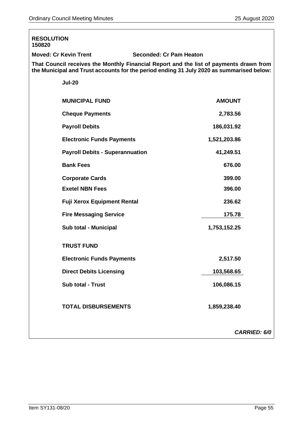| <b>RESOLUTION</b><br>150820                                                                                                                                                        |                                |  |  |
|------------------------------------------------------------------------------------------------------------------------------------------------------------------------------------|--------------------------------|--|--|
| <b>Moved: Cr Kevin Trent</b>                                                                                                                                                       | <b>Seconded: Cr Pam Heaton</b> |  |  |
| That Council receives the Monthly Financial Report and the list of payments drawn from<br>the Municipal and Trust accounts for the period ending 31 July 2020 as summarised below: |                                |  |  |
| <b>Jul-20</b>                                                                                                                                                                      |                                |  |  |
| <b>MUNICIPAL FUND</b>                                                                                                                                                              | <b>AMOUNT</b>                  |  |  |
| <b>Cheque Payments</b>                                                                                                                                                             | 2,783.56                       |  |  |
| <b>Payroll Debits</b>                                                                                                                                                              | 186,031.92                     |  |  |
| <b>Electronic Funds Payments</b>                                                                                                                                                   | 1,521,203.86                   |  |  |
| <b>Payroll Debits - Superannuation</b>                                                                                                                                             | 41,249.51                      |  |  |
| <b>Bank Fees</b>                                                                                                                                                                   | 676.00                         |  |  |
| <b>Corporate Cards</b>                                                                                                                                                             | 399.00                         |  |  |
| <b>Exetel NBN Fees</b>                                                                                                                                                             | 396.00                         |  |  |
| <b>Fuji Xerox Equipment Rental</b>                                                                                                                                                 | 236.62                         |  |  |
| <b>Fire Messaging Service</b>                                                                                                                                                      | 175.78                         |  |  |
| Sub total - Municipal                                                                                                                                                              | 1,753,152.25                   |  |  |
| <b>TRUST FUND</b>                                                                                                                                                                  |                                |  |  |
| <b>Electronic Funds Payments</b>                                                                                                                                                   | 2,517.50                       |  |  |
| <b>Direct Debits Licensing</b>                                                                                                                                                     | 103,568.65                     |  |  |
| <b>Sub total - Trust</b>                                                                                                                                                           | 106,086.15                     |  |  |
| <b>TOTAL DISBURSEMENTS</b>                                                                                                                                                         | 1,859,238.40                   |  |  |
|                                                                                                                                                                                    | <b>CARRIED: 6/0</b>            |  |  |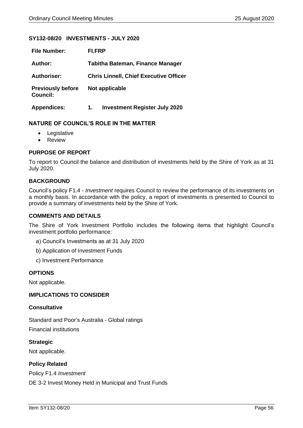#### <span id="page-55-0"></span>**SY132-08/20 INVESTMENTS - JULY 2020**

| <b>File Number:</b>                         | FI.FRP                                        |  |  |
|---------------------------------------------|-----------------------------------------------|--|--|
| Author:                                     | Tabitha Bateman, Finance Manager              |  |  |
| <b>Authoriser:</b>                          | <b>Chris Linnell, Chief Executive Officer</b> |  |  |
| <b>Previously before</b><br><b>Council:</b> | Not applicable                                |  |  |
| <b>Appendices:</b>                          | <b>Investment Register July 2020</b><br>1.    |  |  |

#### **NATURE OF COUNCIL'S ROLE IN THE MATTER**

- Legislative
- Review

#### **PURPOSE OF REPORT**

To report to Council the balance and distribution of investments held by the Shire of York as at 31 July 2020.

#### **BACKGROUND**

Council's policy F1.4 - *Investment* requires Council to review the performance of its investments on a monthly basis. In accordance with the policy, a report of investments is presented to Council to provide a summary of investments held by the Shire of York.

#### **COMMENTS AND DETAILS**

The Shire of York Investment Portfolio includes the following items that highlight Council's investment portfolio performance:

- a) Council's Investments as at 31 July 2020
- b) Application of Investment Funds
- c) Investment Performance

#### **OPTIONS**

Not applicable.

#### **IMPLICATIONS TO CONSIDER**

#### **Consultative**

Standard and Poor's Australia - Global ratings Financial institutions

**Strategic** Not applicable.

#### **Policy Related**

Policy F1.4 *Investment*

DE 3-2 Invest Money Held in Municipal and Trust Funds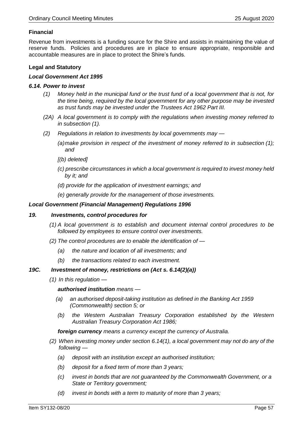#### **Financial**

Revenue from investments is a funding source for the Shire and assists in maintaining the value of reserve funds. Policies and procedures are in place to ensure appropriate, responsible and accountable measures are in place to protect the Shire's funds.

#### **Legal and Statutory**

#### *Local Government Act 1995*

#### *6.14. Power to invest*

- *(1) Money held in the municipal fund or the trust fund of a local government that is not, for the time being, required by the local government for any other purpose may be invested as trust funds may be invested under the Trustees Act 1962 Part III.*
- *(2A) A local government is to comply with the regulations when investing money referred to in subsection (1).*
- *(2) Regulations in relation to investments by local governments may —*
	- *(a)make provision in respect of the investment of money referred to in subsection (1); and*
	- *[(b) deleted]*
	- *(c) prescribe circumstances in which a local government is required to invest money held by it; and*
	- *(d) provide for the application of investment earnings; and*
	- *(e) generally provide for the management of those investments.*

#### *Local Government (Financial Management) Regulations 1996*

#### *19. Investments, control procedures for*

- *(1) A local government is to establish and document internal control procedures to be followed by employees to ensure control over investments.*
- *(2) The control procedures are to enable the identification of —*
	- *(a) the nature and location of all investments; and*
	- *(b) the transactions related to each investment.*

#### *19C. Investment of money, restrictions on (Act s. 6.14(2)(a))*

*(1) In this regulation —*

*authorised institution means —*

- *(a) an authorised deposit-taking institution as defined in the Banking Act 1959 (Commonwealth) section 5; or*
- *(b) the Western Australian Treasury Corporation established by the Western Australian Treasury Corporation Act 1986;*

*foreign currency means a currency except the currency of Australia.*

- *(2) When investing money under section 6.14(1), a local government may not do any of the following —*
	- *(a) deposit with an institution except an authorised institution;*
	- *(b) deposit for a fixed term of more than 3 years;*
	- *(c) invest in bonds that are not guaranteed by the Commonwealth Government, or a State or Territory government;*
	- *(d) invest in bonds with a term to maturity of more than 3 years;*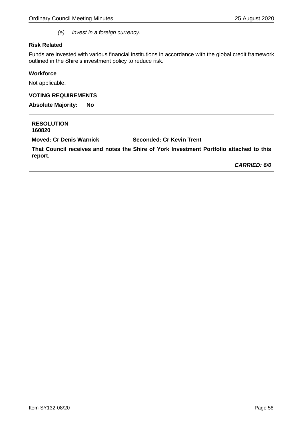*(e) invest in a foreign currency.*

#### **Risk Related**

Funds are invested with various financial institutions in accordance with the global credit framework outlined in the Shire's investment policy to reduce risk.

#### **Workforce**

Not applicable.

#### **VOTING REQUIREMENTS**

**Absolute Majority: No**

**RESOLUTION 160820 Moved: Cr Denis Warnick Seconded: Cr Kevin Trent That Council receives and notes the Shire of York Investment Portfolio attached to this report.** *CARRIED: 6/0*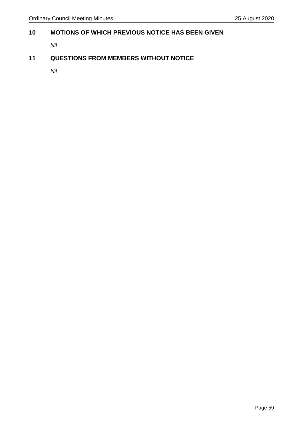# <span id="page-58-0"></span>**10 MOTIONS OF WHICH PREVIOUS NOTICE HAS BEEN GIVEN**

*Nil*

# <span id="page-58-1"></span>**11 QUESTIONS FROM MEMBERS WITHOUT NOTICE**

*Nil*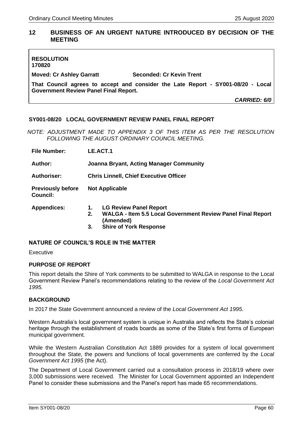# <span id="page-59-0"></span>**12 BUSINESS OF AN URGENT NATURE INTRODUCED BY DECISION OF THE MEETING**

| <b>RESOLUTION</b><br>170820                                                                                                      |                                 |              |
|----------------------------------------------------------------------------------------------------------------------------------|---------------------------------|--------------|
| <b>Moved: Cr Ashley Garratt</b>                                                                                                  | <b>Seconded: Cr Kevin Trent</b> |              |
| That Council agrees to accept and consider the Late Report - SY001-08/20 - Local<br><b>Government Review Panel Final Report.</b> |                                 |              |
|                                                                                                                                  |                                 | CARRIED: 6/0 |

#### <span id="page-59-1"></span>**SY001-08/20 LOCAL GOVERNMENT REVIEW PANEL FINAL REPORT**

*NOTE: ADJUSTMENT MADE TO APPENDIX 3 OF THIS ITEM AS PER THE RESOLUTION FOLLOWING THE AUGUST ORDINARY COUNCIL MEETING.*

| <b>File Number:</b>                  | LE.ACT.1                                                                                                                                                            |  |  |
|--------------------------------------|---------------------------------------------------------------------------------------------------------------------------------------------------------------------|--|--|
| Author:                              | <b>Joanna Bryant, Acting Manager Community</b>                                                                                                                      |  |  |
| Authoriser:                          | <b>Chris Linnell, Chief Executive Officer</b>                                                                                                                       |  |  |
| <b>Previously before</b><br>Council: | <b>Not Applicable</b>                                                                                                                                               |  |  |
| <b>Appendices:</b>                   | <b>LG Review Panel Report</b><br>1.<br><b>WALGA - Item 5.5 Local Government Review Panel Final Report</b><br>2.<br>(Amended)<br><b>Shire of York Response</b><br>3. |  |  |

#### **NATURE OF COUNCIL'S ROLE IN THE MATTER**

Executive

#### **PURPOSE OF REPORT**

This report details the Shire of York comments to be submitted to WALGA in response to the Local Government Review Panel's recommendations relating to the review of the *Local Government Act 1995.*

#### **BACKGROUND**

In 2017 the State Government announced a review of the *Local Government Act 1995*.

Western Australia's local government system is unique in Australia and reflects the State's colonial heritage through the establishment of roads boards as some of the State's first forms of European municipal government.

While the Western Australian Constitution Act 1889 provides for a system of local government throughout the State, the powers and functions of local governments are conferred by the *Local Government Act 1995* (the Act).

The Department of Local Government carried out a consultation process in 2018/19 where over 3,000 submissions were received. The Minister for Local Government appointed an Independent Panel to consider these submissions and the Panel's report has made 65 recommendations.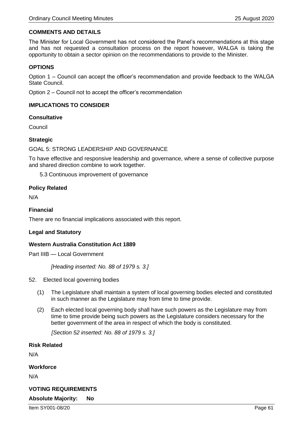#### **COMMENTS AND DETAILS**

The Minister for Local Government has not considered the Panel's recommendations at this stage and has not requested a consultation process on the report however, WALGA is taking the opportunity to obtain a sector opinion on the recommendations to provide to the Minister.

#### **OPTIONS**

Option 1 – Council can accept the officer's recommendation and provide feedback to the WALGA State Council.

Option 2 – Council not to accept the officer's recommendation

#### **IMPLICATIONS TO CONSIDER**

#### **Consultative**

Council

#### **Strategic**

GOAL 5: STRONG LEADERSHIP AND GOVERNANCE

To have effective and responsive leadership and governance, where a sense of collective purpose and shared direction combine to work together.

5.3 Continuous improvement of governance

#### **Policy Related**

N/A

#### **Financial**

There are no financial implications associated with this report.

#### **Legal and Statutory**

#### **Western Australia Constitution Act 1889**

Part IIIB — Local Government

*[Heading inserted: No. 88 of 1979 s. 3.]* 

- 52. Elected local governing bodies
	- (1) The Legislature shall maintain a system of local governing bodies elected and constituted in such manner as the Legislature may from time to time provide.
	- (2) Each elected local governing body shall have such powers as the Legislature may from time to time provide being such powers as the Legislature considers necessary for the better government of the area in respect of which the body is constituted.

*[Section 52 inserted: No. 88 of 1979 s. 3.]*

#### **Risk Related**

N/A

#### **Workforce**

N/A

# **VOTING REQUIREMENTS**

# **Absolute Majority: No**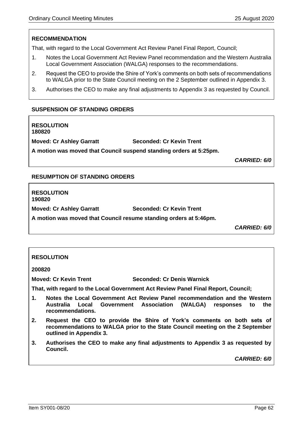# **RECOMMENDATION**

That, with regard to the Local Government Act Review Panel Final Report, Council;

- 1. Notes the Local Government Act Review Panel recommendation and the Western Australia Local Government Association (WALGA) responses to the recommendations.
- 2. Request the CEO to provide the Shire of York's comments on both sets of recommendations to WALGA prior to the State Council meeting on the 2 September outlined in Appendix 3.
- 3. Authorises the CEO to make any final adjustments to Appendix 3 as requested by Council.

#### **SUSPENSION OF STANDING ORDERS**

**RESOLUTION 180820**

**Moved: Cr Ashley Garratt Seconded: Cr Kevin Trent**

**A motion was moved that Council suspend standing orders at 5:25pm.**

*CARRIED: 6/0*

#### **RESUMPTION OF STANDING ORDERS**

**RESOLUTION 190820 Moved: Cr Ashley Garratt Seconded: Cr Kevin Trent A motion was moved that Council resume standing orders at 5:46pm.**

*CARRIED: 6/0*

#### **RESOLUTION**

**200820** 

**Moved: Cr Kevin Trent Seconded: Cr Denis Warnick** 

**That, with regard to the Local Government Act Review Panel Final Report, Council;** 

- **1. Notes the Local Government Act Review Panel recommendation and the Western Australia Local Government Association (WALGA) responses to the recommendations.**
- **2. Request the CEO to provide the Shire of York's comments on both sets of recommendations to WALGA prior to the State Council meeting on the 2 September outlined in Appendix 3.**
- **3. Authorises the CEO to make any final adjustments to Appendix 3 as requested by Council.**

*CARRIED: 6/0*